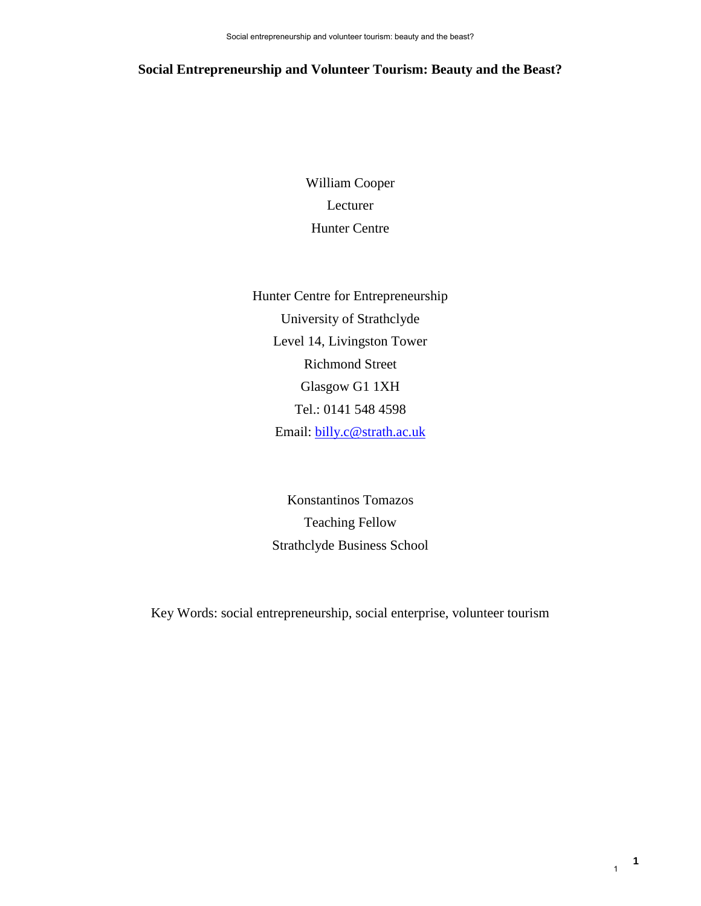## **Social Entrepreneurship and Volunteer Tourism: Beauty and the Beast?**

William Cooper Lecturer Hunter Centre

Hunter Centre for Entrepreneurship University of Strathclyde Level 14, Livingston Tower Richmond Street Glasgow G1 1XH Tel.: 0141 548 4598 Email: [billy.c@strath.ac.uk](mailto:billy.c@strath.ac.uk)

Konstantinos Tomazos Teaching Fellow Strathclyde Business School

Key Words: social entrepreneurship, social enterprise, volunteer tourism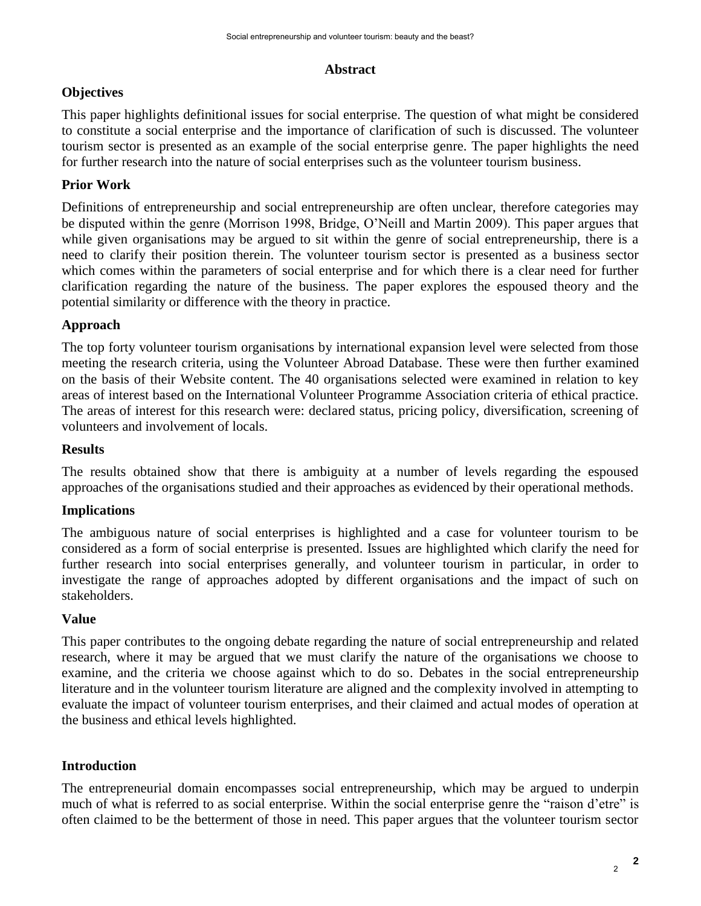## **Abstract**

# **Objectives**

This paper highlights definitional issues for social enterprise. The question of what might be considered to constitute a social enterprise and the importance of clarification of such is discussed. The volunteer tourism sector is presented as an example of the social enterprise genre. The paper highlights the need for further research into the nature of social enterprises such as the volunteer tourism business.

# **Prior Work**

Definitions of entrepreneurship and social entrepreneurship are often unclear, therefore categories may be disputed within the genre (Morrison 1998, Bridge, O"Neill and Martin 2009). This paper argues that while given organisations may be argued to sit within the genre of social entrepreneurship, there is a need to clarify their position therein. The volunteer tourism sector is presented as a business sector which comes within the parameters of social enterprise and for which there is a clear need for further clarification regarding the nature of the business. The paper explores the espoused theory and the potential similarity or difference with the theory in practice.

# **Approach**

The top forty volunteer tourism organisations by international expansion level were selected from those meeting the research criteria, using the Volunteer Abroad Database. These were then further examined on the basis of their Website content. The 40 organisations selected were examined in relation to key areas of interest based on the International Volunteer Programme Association criteria of ethical practice. The areas of interest for this research were: declared status, pricing policy, diversification, screening of volunteers and involvement of locals.

# **Results**

The results obtained show that there is ambiguity at a number of levels regarding the espoused approaches of the organisations studied and their approaches as evidenced by their operational methods.

# **Implications**

The ambiguous nature of social enterprises is highlighted and a case for volunteer tourism to be considered as a form of social enterprise is presented. Issues are highlighted which clarify the need for further research into social enterprises generally, and volunteer tourism in particular, in order to investigate the range of approaches adopted by different organisations and the impact of such on stakeholders.

### **Value**

This paper contributes to the ongoing debate regarding the nature of social entrepreneurship and related research, where it may be argued that we must clarify the nature of the organisations we choose to examine, and the criteria we choose against which to do so. Debates in the social entrepreneurship literature and in the volunteer tourism literature are aligned and the complexity involved in attempting to evaluate the impact of volunteer tourism enterprises, and their claimed and actual modes of operation at the business and ethical levels highlighted.

# **Introduction**

The entrepreneurial domain encompasses social entrepreneurship, which may be argued to underpin much of what is referred to as social enterprise. Within the social enterprise genre the "raison d"etre" is often claimed to be the betterment of those in need. This paper argues that the volunteer tourism sector

 $\mathcal{L}$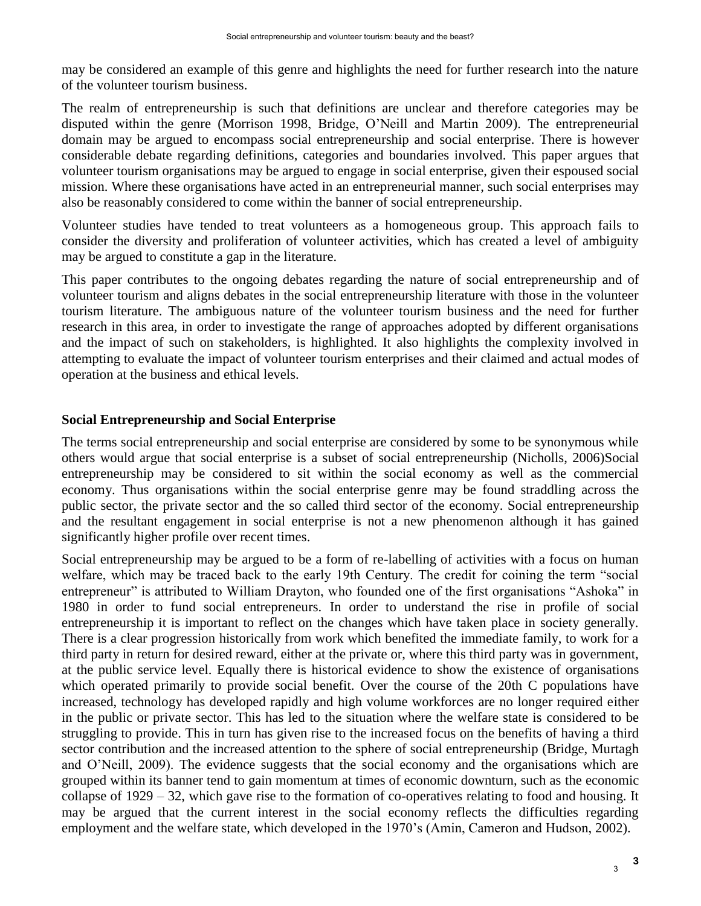may be considered an example of this genre and highlights the need for further research into the nature of the volunteer tourism business.

The realm of entrepreneurship is such that definitions are unclear and therefore categories may be disputed within the genre (Morrison 1998, Bridge, O"Neill and Martin 2009). The entrepreneurial domain may be argued to encompass social entrepreneurship and social enterprise. There is however considerable debate regarding definitions, categories and boundaries involved. This paper argues that volunteer tourism organisations may be argued to engage in social enterprise, given their espoused social mission. Where these organisations have acted in an entrepreneurial manner, such social enterprises may also be reasonably considered to come within the banner of social entrepreneurship.

Volunteer studies have tended to treat volunteers as a homogeneous group. This approach fails to consider the diversity and proliferation of volunteer activities, which has created a level of ambiguity may be argued to constitute a gap in the literature.

This paper contributes to the ongoing debates regarding the nature of social entrepreneurship and of volunteer tourism and aligns debates in the social entrepreneurship literature with those in the volunteer tourism literature. The ambiguous nature of the volunteer tourism business and the need for further research in this area, in order to investigate the range of approaches adopted by different organisations and the impact of such on stakeholders, is highlighted. It also highlights the complexity involved in attempting to evaluate the impact of volunteer tourism enterprises and their claimed and actual modes of operation at the business and ethical levels.

## **Social Entrepreneurship and Social Enterprise**

The terms social entrepreneurship and social enterprise are considered by some to be synonymous while others would argue that social enterprise is a subset of social entrepreneurship (Nicholls, 2006)Social entrepreneurship may be considered to sit within the social economy as well as the commercial economy. Thus organisations within the social enterprise genre may be found straddling across the public sector, the private sector and the so called third sector of the economy. Social entrepreneurship and the resultant engagement in social enterprise is not a new phenomenon although it has gained significantly higher profile over recent times.

Social entrepreneurship may be argued to be a form of re-labelling of activities with a focus on human welfare, which may be traced back to the early 19th Century. The credit for coining the term "social entrepreneur" is attributed to William Drayton, who founded one of the first organisations "Ashoka" in 1980 in order to fund social entrepreneurs. In order to understand the rise in profile of social entrepreneurship it is important to reflect on the changes which have taken place in society generally. There is a clear progression historically from work which benefited the immediate family, to work for a third party in return for desired reward, either at the private or, where this third party was in government, at the public service level. Equally there is historical evidence to show the existence of organisations which operated primarily to provide social benefit. Over the course of the 20th C populations have increased, technology has developed rapidly and high volume workforces are no longer required either in the public or private sector. This has led to the situation where the welfare state is considered to be struggling to provide. This in turn has given rise to the increased focus on the benefits of having a third sector contribution and the increased attention to the sphere of social entrepreneurship (Bridge, Murtagh and O"Neill, 2009). The evidence suggests that the social economy and the organisations which are grouped within its banner tend to gain momentum at times of economic downturn, such as the economic collapse of 1929 – 32, which gave rise to the formation of co-operatives relating to food and housing. It may be argued that the current interest in the social economy reflects the difficulties regarding employment and the welfare state, which developed in the 1970"s (Amin, Cameron and Hudson, 2002).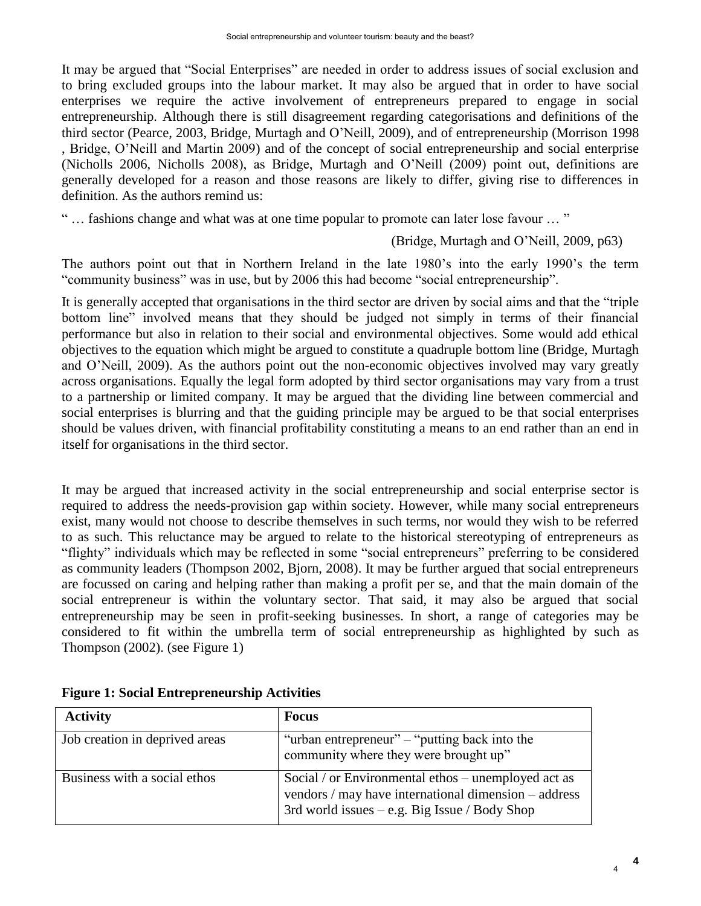It may be argued that "Social Enterprises" are needed in order to address issues of social exclusion and to bring excluded groups into the labour market. It may also be argued that in order to have social enterprises we require the active involvement of entrepreneurs prepared to engage in social entrepreneurship. Although there is still disagreement regarding categorisations and definitions of the third sector (Pearce, 2003, Bridge, Murtagh and O"Neill, 2009), and of entrepreneurship (Morrison 1998 , Bridge, O"Neill and Martin 2009) and of the concept of social entrepreneurship and social enterprise (Nicholls 2006, Nicholls 2008), as Bridge, Murtagh and O"Neill (2009) point out, definitions are generally developed for a reason and those reasons are likely to differ, giving rise to differences in definition. As the authors remind us:

" … fashions change and what was at one time popular to promote can later lose favour … "

(Bridge, Murtagh and O"Neill, 2009, p63)

The authors point out that in Northern Ireland in the late 1980"s into the early 1990"s the term "community business" was in use, but by 2006 this had become "social entrepreneurship".

It is generally accepted that organisations in the third sector are driven by social aims and that the "triple bottom line" involved means that they should be judged not simply in terms of their financial performance but also in relation to their social and environmental objectives. Some would add ethical objectives to the equation which might be argued to constitute a quadruple bottom line (Bridge, Murtagh and O"Neill, 2009). As the authors point out the non-economic objectives involved may vary greatly across organisations. Equally the legal form adopted by third sector organisations may vary from a trust to a partnership or limited company. It may be argued that the dividing line between commercial and social enterprises is blurring and that the guiding principle may be argued to be that social enterprises should be values driven, with financial profitability constituting a means to an end rather than an end in itself for organisations in the third sector.

It may be argued that increased activity in the social entrepreneurship and social enterprise sector is required to address the needs-provision gap within society. However, while many social entrepreneurs exist, many would not choose to describe themselves in such terms, nor would they wish to be referred to as such. This reluctance may be argued to relate to the historical stereotyping of entrepreneurs as "flighty" individuals which may be reflected in some "social entrepreneurs" preferring to be considered as community leaders (Thompson 2002, Bjorn, 2008). It may be further argued that social entrepreneurs are focussed on caring and helping rather than making a profit per se, and that the main domain of the social entrepreneur is within the voluntary sector. That said, it may also be argued that social entrepreneurship may be seen in profit-seeking businesses. In short, a range of categories may be considered to fit within the umbrella term of social entrepreneurship as highlighted by such as Thompson (2002). (see Figure 1)

| <b>Activity</b>                | <b>Focus</b>                                                                                                                                                   |
|--------------------------------|----------------------------------------------------------------------------------------------------------------------------------------------------------------|
| Job creation in deprived areas | "urban entrepreneur" – "putting back into the<br>community where they were brought up"                                                                         |
| Business with a social ethos   | Social / or Environmental ethos – unemployed act as<br>vendors / may have international dimension – address<br>3rd world issues $-$ e.g. Big Issue / Body Shop |

|  | <b>Figure 1: Social Entrepreneurship Activities</b> |  |
|--|-----------------------------------------------------|--|
|--|-----------------------------------------------------|--|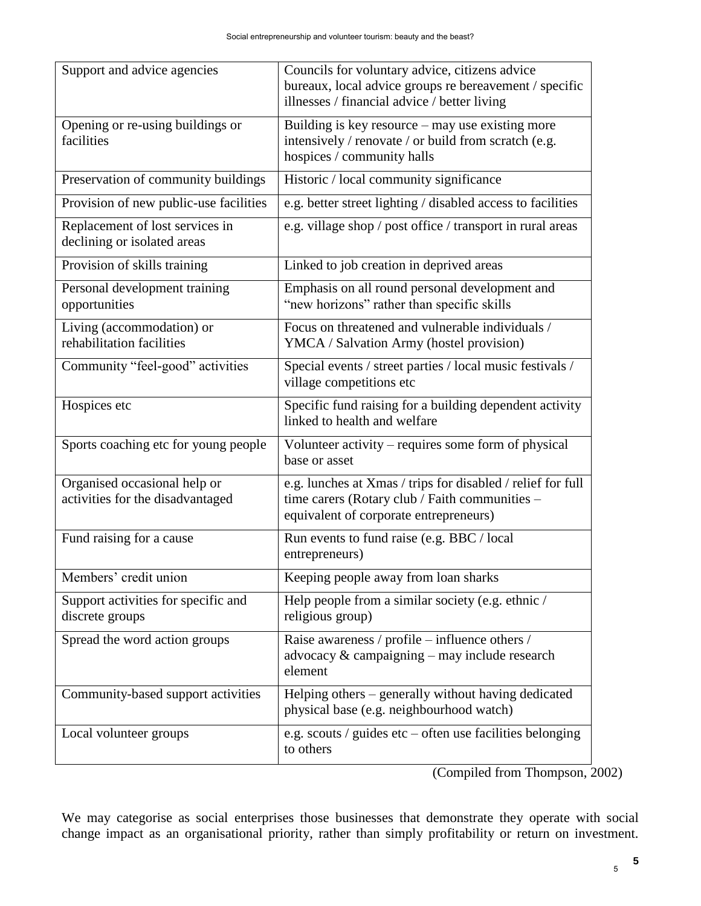| Support and advice agencies                                      | Councils for voluntary advice, citizens advice<br>bureaux, local advice groups re bereavement / specific<br>illnesses / financial advice / better living |
|------------------------------------------------------------------|----------------------------------------------------------------------------------------------------------------------------------------------------------|
| Opening or re-using buildings or<br>facilities                   | Building is key resource – may use existing more<br>intensively / renovate / or build from scratch (e.g.<br>hospices / community halls                   |
| Preservation of community buildings                              | Historic / local community significance                                                                                                                  |
| Provision of new public-use facilities                           | e.g. better street lighting / disabled access to facilities                                                                                              |
| Replacement of lost services in<br>declining or isolated areas   | e.g. village shop / post office / transport in rural areas                                                                                               |
| Provision of skills training                                     | Linked to job creation in deprived areas                                                                                                                 |
| Personal development training<br>opportunities                   | Emphasis on all round personal development and<br>"new horizons" rather than specific skills                                                             |
| Living (accommodation) or<br>rehabilitation facilities           | Focus on threatened and vulnerable individuals /<br><b>YMCA</b> / Salvation Army (hostel provision)                                                      |
| Community "feel-good" activities                                 | Special events / street parties / local music festivals /<br>village competitions etc                                                                    |
| Hospices etc                                                     | Specific fund raising for a building dependent activity<br>linked to health and welfare                                                                  |
| Sports coaching etc for young people                             | Volunteer activity – requires some form of physical<br>base or asset                                                                                     |
| Organised occasional help or<br>activities for the disadvantaged | e.g. lunches at Xmas / trips for disabled / relief for full<br>time carers (Rotary club / Faith communities -<br>equivalent of corporate entrepreneurs)  |
| Fund raising for a cause                                         | Run events to fund raise (e.g. BBC / local<br>entrepreneurs)                                                                                             |
| Members' credit union                                            | Keeping people away from loan sharks                                                                                                                     |
| Support activities for specific and<br>discrete groups           | Help people from a similar society (e.g. ethnic /<br>religious group)                                                                                    |
| Spread the word action groups                                    | Raise awareness / profile – influence others /<br>advocacy $\&$ campaigning – may include research<br>element                                            |
| Community-based support activities                               | Helping others – generally without having dedicated<br>physical base (e.g. neighbourhood watch)                                                          |
| Local volunteer groups                                           | e.g. scouts / guides etc $-$ often use facilities belonging<br>to others                                                                                 |

(Compiled from Thompson, 2002)

We may categorise as social enterprises those businesses that demonstrate they operate with social change impact as an organisational priority, rather than simply profitability or return on investment.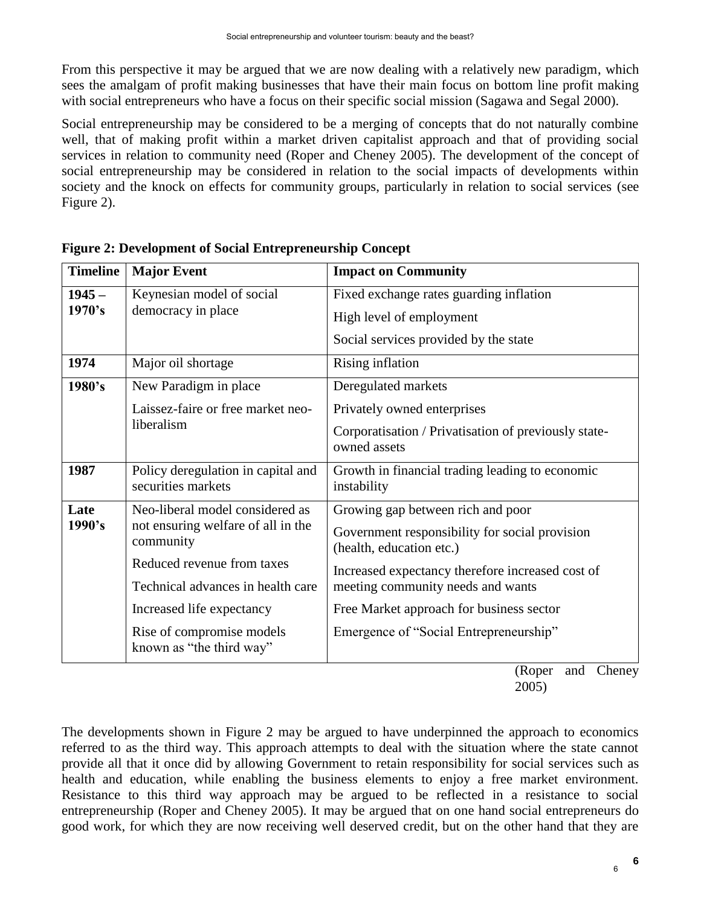From this perspective it may be argued that we are now dealing with a relatively new paradigm, which sees the amalgam of profit making businesses that have their main focus on bottom line profit making with social entrepreneurs who have a focus on their specific social mission (Sagawa and Segal 2000).

Social entrepreneurship may be considered to be a merging of concepts that do not naturally combine well, that of making profit within a market driven capitalist approach and that of providing social services in relation to community need (Roper and Cheney 2005). The development of the concept of social entrepreneurship may be considered in relation to the social impacts of developments within society and the knock on effects for community groups, particularly in relation to social services (see Figure 2).

| <b>Timeline</b>    | <b>Major Event</b>                                                                                                                                    | <b>Impact on Community</b>                                                                                                                                                                               |
|--------------------|-------------------------------------------------------------------------------------------------------------------------------------------------------|----------------------------------------------------------------------------------------------------------------------------------------------------------------------------------------------------------|
| $1945 -$<br>1970's | Keynesian model of social<br>democracy in place                                                                                                       | Fixed exchange rates guarding inflation<br>High level of employment<br>Social services provided by the state                                                                                             |
| 1974               | Major oil shortage                                                                                                                                    | Rising inflation                                                                                                                                                                                         |
| 1980's             | New Paradigm in place<br>Laissez-faire or free market neo-<br>liberalism                                                                              | Deregulated markets<br>Privately owned enterprises<br>Corporatisation / Privatisation of previously state-<br>owned assets                                                                               |
| 1987               | Policy deregulation in capital and<br>securities markets                                                                                              | Growth in financial trading leading to economic<br>instability                                                                                                                                           |
| Late<br>1990's     | Neo-liberal model considered as<br>not ensuring welfare of all in the<br>community<br>Reduced revenue from taxes<br>Technical advances in health care | Growing gap between rich and poor<br>Government responsibility for social provision<br>(health, education etc.)<br>Increased expectancy therefore increased cost of<br>meeting community needs and wants |
|                    | Increased life expectancy<br>Rise of compromise models<br>known as "the third way"                                                                    | Free Market approach for business sector<br>Emergence of "Social Entrepreneurship"                                                                                                                       |

**Figure 2: Development of Social Entrepreneurship Concept** 

(Roper and Cheney 2005)

The developments shown in Figure 2 may be argued to have underpinned the approach to economics referred to as the third way. This approach attempts to deal with the situation where the state cannot provide all that it once did by allowing Government to retain responsibility for social services such as health and education, while enabling the business elements to enjoy a free market environment. Resistance to this third way approach may be argued to be reflected in a resistance to social entrepreneurship (Roper and Cheney 2005). It may be argued that on one hand social entrepreneurs do good work, for which they are now receiving well deserved credit, but on the other hand that they are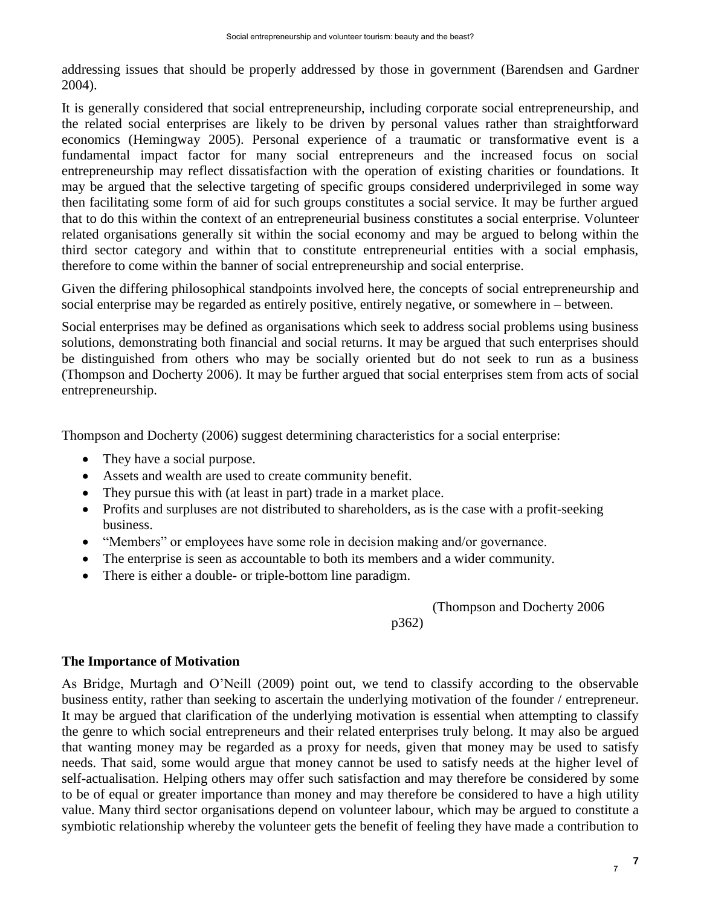addressing issues that should be properly addressed by those in government (Barendsen and Gardner 2004).

It is generally considered that social entrepreneurship, including corporate social entrepreneurship, and the related social enterprises are likely to be driven by personal values rather than straightforward economics (Hemingway 2005). Personal experience of a traumatic or transformative event is a fundamental impact factor for many social entrepreneurs and the increased focus on social entrepreneurship may reflect dissatisfaction with the operation of existing charities or foundations. It may be argued that the selective targeting of specific groups considered underprivileged in some way then facilitating some form of aid for such groups constitutes a social service. It may be further argued that to do this within the context of an entrepreneurial business constitutes a social enterprise. Volunteer related organisations generally sit within the social economy and may be argued to belong within the third sector category and within that to constitute entrepreneurial entities with a social emphasis, therefore to come within the banner of social entrepreneurship and social enterprise.

Given the differing philosophical standpoints involved here, the concepts of social entrepreneurship and social enterprise may be regarded as entirely positive, entirely negative, or somewhere in – between.

Social enterprises may be defined as organisations which seek to address social problems using business solutions, demonstrating both financial and social returns. It may be argued that such enterprises should be distinguished from others who may be socially oriented but do not seek to run as a business (Thompson and Docherty 2006). It may be further argued that social enterprises stem from acts of social entrepreneurship.

Thompson and Docherty (2006) suggest determining characteristics for a social enterprise:

- They have a social purpose.
- Assets and wealth are used to create community benefit.
- They pursue this with (at least in part) trade in a market place.
- Profits and surpluses are not distributed to shareholders, as is the case with a profit-seeking business.
- "Members" or employees have some role in decision making and/or governance.
- The enterprise is seen as accountable to both its members and a wider community.
- There is either a double- or triple-bottom line paradigm.

(Thompson and Docherty 2006 p362)

### **The Importance of Motivation**

As Bridge, Murtagh and O"Neill (2009) point out, we tend to classify according to the observable business entity, rather than seeking to ascertain the underlying motivation of the founder / entrepreneur. It may be argued that clarification of the underlying motivation is essential when attempting to classify the genre to which social entrepreneurs and their related enterprises truly belong. It may also be argued that wanting money may be regarded as a proxy for needs, given that money may be used to satisfy needs. That said, some would argue that money cannot be used to satisfy needs at the higher level of self-actualisation. Helping others may offer such satisfaction and may therefore be considered by some to be of equal or greater importance than money and may therefore be considered to have a high utility value. Many third sector organisations depend on volunteer labour, which may be argued to constitute a symbiotic relationship whereby the volunteer gets the benefit of feeling they have made a contribution to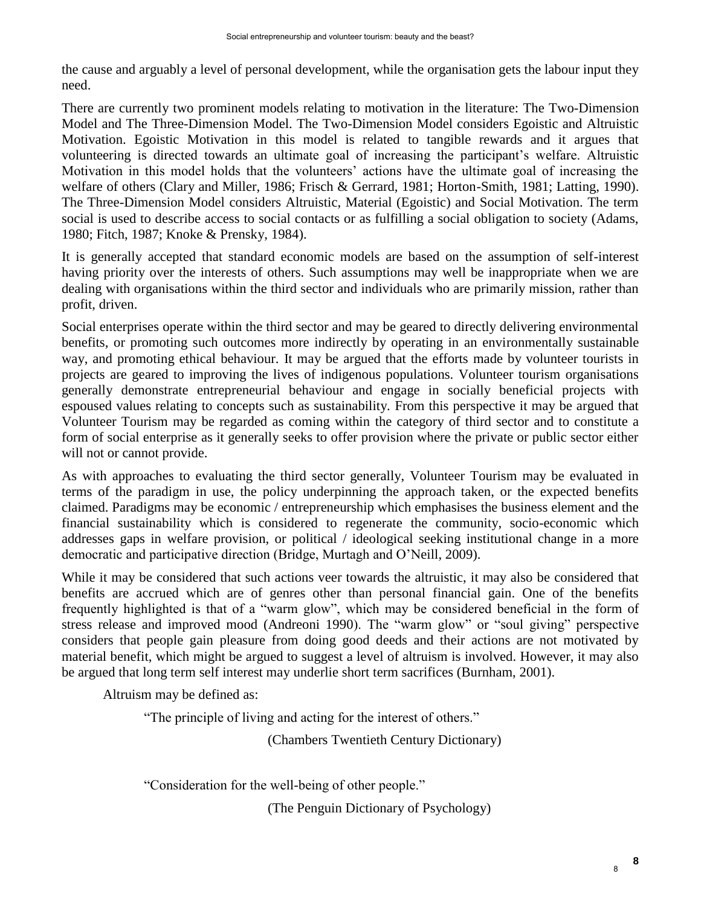the cause and arguably a level of personal development, while the organisation gets the labour input they need.

There are currently two prominent models relating to motivation in the literature: The Two-Dimension Model and The Three-Dimension Model. The Two-Dimension Model considers Egoistic and Altruistic Motivation. Egoistic Motivation in this model is related to tangible rewards and it argues that volunteering is directed towards an ultimate goal of increasing the participant"s welfare. Altruistic Motivation in this model holds that the volunteers" actions have the ultimate goal of increasing the welfare of others (Clary and Miller, 1986; Frisch & Gerrard, 1981; Horton-Smith, 1981; Latting, 1990). The Three-Dimension Model considers Altruistic, Material (Egoistic) and Social Motivation. The term social is used to describe access to social contacts or as fulfilling a social obligation to society (Adams, 1980; Fitch, 1987; Knoke & Prensky, 1984).

It is generally accepted that standard economic models are based on the assumption of self-interest having priority over the interests of others. Such assumptions may well be inappropriate when we are dealing with organisations within the third sector and individuals who are primarily mission, rather than profit, driven.

Social enterprises operate within the third sector and may be geared to directly delivering environmental benefits, or promoting such outcomes more indirectly by operating in an environmentally sustainable way, and promoting ethical behaviour. It may be argued that the efforts made by volunteer tourists in projects are geared to improving the lives of indigenous populations. Volunteer tourism organisations generally demonstrate entrepreneurial behaviour and engage in socially beneficial projects with espoused values relating to concepts such as sustainability. From this perspective it may be argued that Volunteer Tourism may be regarded as coming within the category of third sector and to constitute a form of social enterprise as it generally seeks to offer provision where the private or public sector either will not or cannot provide.

As with approaches to evaluating the third sector generally, Volunteer Tourism may be evaluated in terms of the paradigm in use, the policy underpinning the approach taken, or the expected benefits claimed. Paradigms may be economic / entrepreneurship which emphasises the business element and the financial sustainability which is considered to regenerate the community, socio-economic which addresses gaps in welfare provision, or political / ideological seeking institutional change in a more democratic and participative direction (Bridge, Murtagh and O"Neill, 2009).

While it may be considered that such actions veer towards the altruistic, it may also be considered that benefits are accrued which are of genres other than personal financial gain. One of the benefits frequently highlighted is that of a "warm glow", which may be considered beneficial in the form of stress release and improved mood (Andreoni 1990). The "warm glow" or "soul giving" perspective considers that people gain pleasure from doing good deeds and their actions are not motivated by material benefit, which might be argued to suggest a level of altruism is involved. However, it may also be argued that long term self interest may underlie short term sacrifices (Burnham, 2001).

Altruism may be defined as:

"The principle of living and acting for the interest of others."

(Chambers Twentieth Century Dictionary)

"Consideration for the well-being of other people."

(The Penguin Dictionary of Psychology)

<u>ል</u>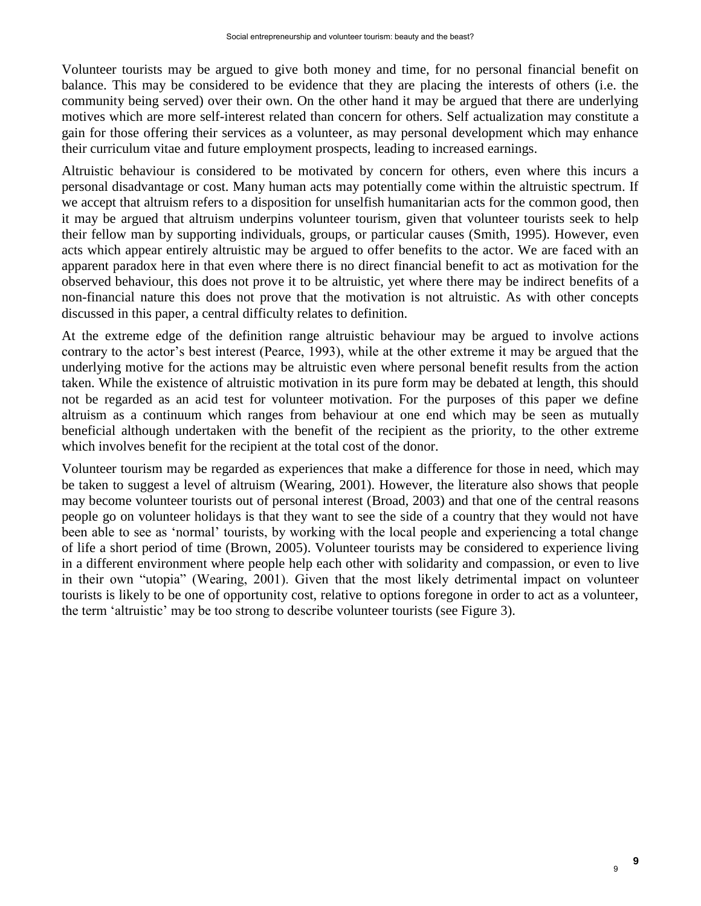Volunteer tourists may be argued to give both money and time, for no personal financial benefit on balance. This may be considered to be evidence that they are placing the interests of others (i.e. the community being served) over their own. On the other hand it may be argued that there are underlying motives which are more self-interest related than concern for others. Self actualization may constitute a gain for those offering their services as a volunteer, as may personal development which may enhance their curriculum vitae and future employment prospects, leading to increased earnings.

Altruistic behaviour is considered to be motivated by concern for others, even where this incurs a personal disadvantage or cost. Many human acts may potentially come within the altruistic spectrum. If we accept that altruism refers to a disposition for unselfish humanitarian acts for the common good, then it may be argued that altruism underpins volunteer tourism, given that volunteer tourists seek to help their fellow man by supporting individuals, groups, or particular causes (Smith, 1995). However, even acts which appear entirely altruistic may be argued to offer benefits to the actor. We are faced with an apparent paradox here in that even where there is no direct financial benefit to act as motivation for the observed behaviour, this does not prove it to be altruistic, yet where there may be indirect benefits of a non-financial nature this does not prove that the motivation is not altruistic. As with other concepts discussed in this paper, a central difficulty relates to definition.

At the extreme edge of the definition range altruistic behaviour may be argued to involve actions contrary to the actor's best interest (Pearce, 1993), while at the other extreme it may be argued that the underlying motive for the actions may be altruistic even where personal benefit results from the action taken. While the existence of altruistic motivation in its pure form may be debated at length, this should not be regarded as an acid test for volunteer motivation. For the purposes of this paper we define altruism as a continuum which ranges from behaviour at one end which may be seen as mutually beneficial although undertaken with the benefit of the recipient as the priority, to the other extreme which involves benefit for the recipient at the total cost of the donor.

Volunteer tourism may be regarded as experiences that make a difference for those in need, which may be taken to suggest a level of altruism (Wearing, 2001). However, the literature also shows that people may become volunteer tourists out of personal interest (Broad, 2003) and that one of the central reasons people go on volunteer holidays is that they want to see the side of a country that they would not have been able to see as 'normal' tourists, by working with the local people and experiencing a total change of life a short period of time (Brown, 2005). Volunteer tourists may be considered to experience living in a different environment where people help each other with solidarity and compassion, or even to live in their own "utopia" (Wearing, 2001). Given that the most likely detrimental impact on volunteer tourists is likely to be one of opportunity cost, relative to options foregone in order to act as a volunteer, the term "altruistic" may be too strong to describe volunteer tourists (see Figure 3).

 $\alpha$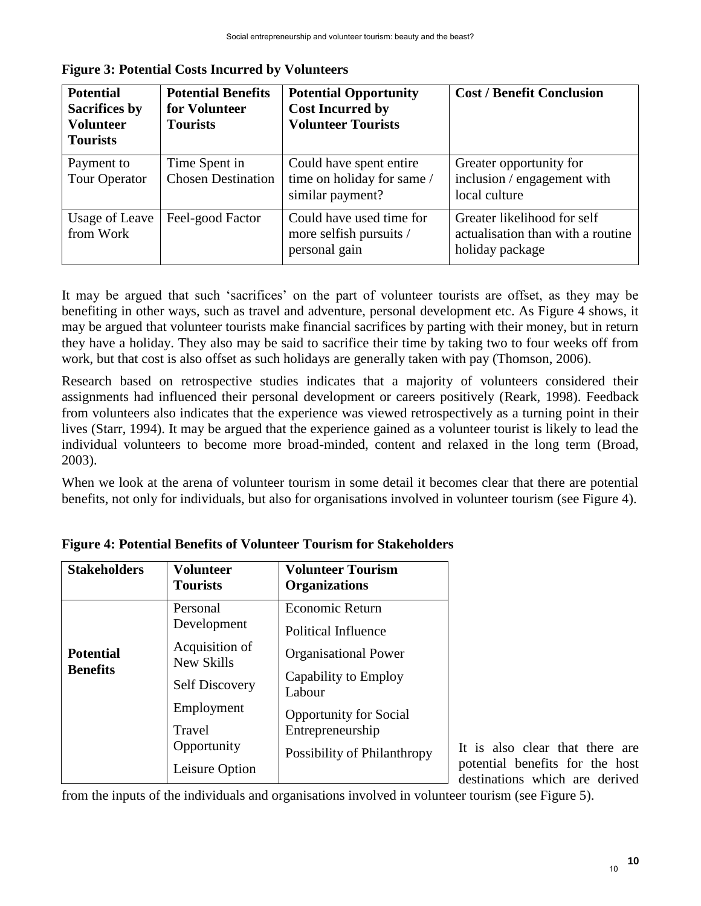| <b>Potential</b><br><b>Sacrifices by</b><br><b>Volunteer</b><br><b>Tourists</b> | <b>Potential Benefits</b><br>for Volunteer<br><b>Tourists</b> | <b>Potential Opportunity</b><br><b>Cost Incurred by</b><br><b>Volunteer Tourists</b> | <b>Cost / Benefit Conclusion</b>                                                    |
|---------------------------------------------------------------------------------|---------------------------------------------------------------|--------------------------------------------------------------------------------------|-------------------------------------------------------------------------------------|
| Payment to<br><b>Tour Operator</b>                                              | Time Spent in<br><b>Chosen Destination</b>                    | Could have spent entire<br>time on holiday for same /<br>similar payment?            | Greater opportunity for<br>inclusion / engagement with<br>local culture             |
| Usage of Leave<br>from Work                                                     | Feel-good Factor                                              | Could have used time for<br>more selfish pursuits /<br>personal gain                 | Greater likelihood for self<br>actualisation than with a routine<br>holiday package |

**Figure 3: Potential Costs Incurred by Volunteers** 

It may be argued that such 'sacrifices' on the part of volunteer tourists are offset, as they may be benefiting in other ways, such as travel and adventure, personal development etc. As Figure 4 shows, it may be argued that volunteer tourists make financial sacrifices by parting with their money, but in return they have a holiday. They also may be said to sacrifice their time by taking two to four weeks off from work, but that cost is also offset as such holidays are generally taken with pay (Thomson, 2006).

Research based on retrospective studies indicates that a majority of volunteers considered their assignments had influenced their personal development or careers positively (Reark, 1998). Feedback from volunteers also indicates that the experience was viewed retrospectively as a turning point in their lives (Starr, 1994). It may be argued that the experience gained as a volunteer tourist is likely to lead the individual volunteers to become more broad-minded, content and relaxed in the long term (Broad, 2003).

When we look at the arena of volunteer tourism in some detail it becomes clear that there are potential benefits, not only for individuals, but also for organisations involved in volunteer tourism (see Figure 4).

| <b>Stakeholders</b>                 | <b>Volunteer</b><br><b>Tourists</b>                                                                             | <b>Volunteer Tourism</b><br><b>Organizations</b>                                                                                                                           |
|-------------------------------------|-----------------------------------------------------------------------------------------------------------------|----------------------------------------------------------------------------------------------------------------------------------------------------------------------------|
| <b>Potential</b><br><b>Benefits</b> | Personal<br>Development<br>Acquisition of<br><b>New Skills</b><br><b>Self Discovery</b><br>Employment<br>Travel | <b>Economic Return</b><br><b>Political Influence</b><br><b>Organisational Power</b><br>Capability to Employ<br>Labour<br><b>Opportunity for Social</b><br>Entrepreneurship |
|                                     | Opportunity<br>Leisure Option                                                                                   | Possibility of Philanthropy                                                                                                                                                |

**Figure 4: Potential Benefits of Volunteer Tourism for Stakeholders** 

It is also clear that there are potential benefits for the host destinations which are derived

from the inputs of the individuals and organisations involved in volunteer tourism (see Figure 5).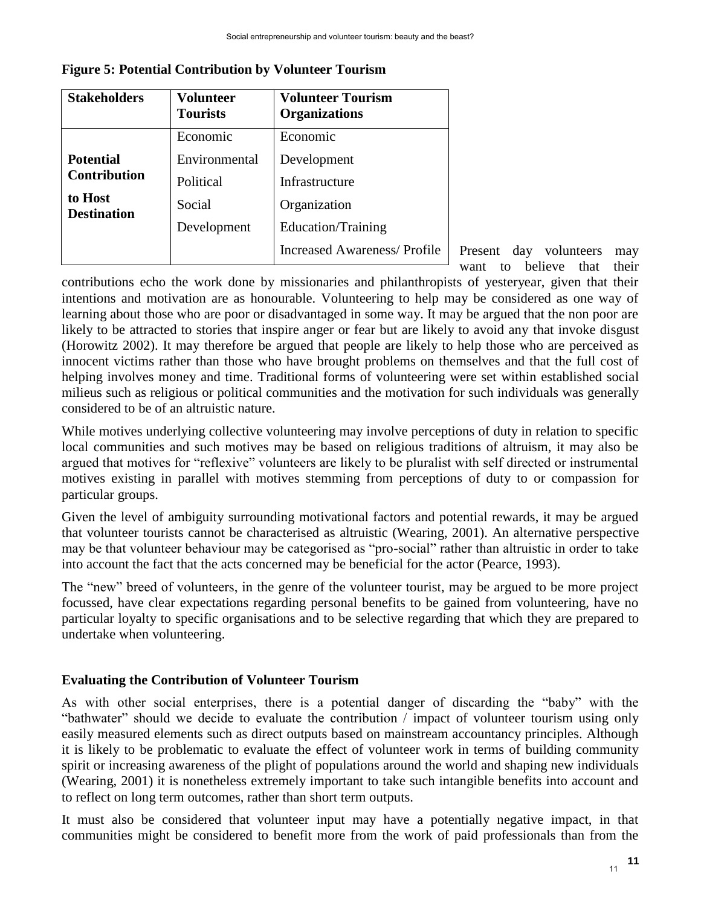| <b>Stakeholders</b>           | <b>Volunteer</b><br><b>Tourists</b> | <b>Volunteer Tourism</b><br><b>Organizations</b> |         |
|-------------------------------|-------------------------------------|--------------------------------------------------|---------|
|                               | Economic                            | Economic                                         |         |
| <b>Potential</b>              | Environmental                       | Development                                      |         |
| <b>Contribution</b>           | Political                           | Infrastructure                                   |         |
| to Host<br><b>Destination</b> | Social                              | Organization                                     |         |
|                               | Development                         | Education/Training                               |         |
|                               |                                     | <b>Increased Awareness/Profile</b>               | F<br>v, |

**Figure 5: Potential Contribution by Volunteer Tourism** 

Present day volunteers may want to believe that their

contributions echo the work done by missionaries and philanthropists of yesteryear, given that their intentions and motivation are as honourable. Volunteering to help may be considered as one way of learning about those who are poor or disadvantaged in some way. It may be argued that the non poor are likely to be attracted to stories that inspire anger or fear but are likely to avoid any that invoke disgust (Horowitz 2002). It may therefore be argued that people are likely to help those who are perceived as innocent victims rather than those who have brought problems on themselves and that the full cost of helping involves money and time. Traditional forms of volunteering were set within established social milieus such as religious or political communities and the motivation for such individuals was generally considered to be of an altruistic nature.

While motives underlying collective volunteering may involve perceptions of duty in relation to specific local communities and such motives may be based on religious traditions of altruism, it may also be argued that motives for "reflexive" volunteers are likely to be pluralist with self directed or instrumental motives existing in parallel with motives stemming from perceptions of duty to or compassion for particular groups.

Given the level of ambiguity surrounding motivational factors and potential rewards, it may be argued that volunteer tourists cannot be characterised as altruistic (Wearing, 2001). An alternative perspective may be that volunteer behaviour may be categorised as "pro-social" rather than altruistic in order to take into account the fact that the acts concerned may be beneficial for the actor (Pearce, 1993).

The "new" breed of volunteers, in the genre of the volunteer tourist, may be argued to be more project focussed, have clear expectations regarding personal benefits to be gained from volunteering, have no particular loyalty to specific organisations and to be selective regarding that which they are prepared to undertake when volunteering.

# **Evaluating the Contribution of Volunteer Tourism**

As with other social enterprises, there is a potential danger of discarding the "baby" with the "bathwater" should we decide to evaluate the contribution / impact of volunteer tourism using only easily measured elements such as direct outputs based on mainstream accountancy principles. Although it is likely to be problematic to evaluate the effect of volunteer work in terms of building community spirit or increasing awareness of the plight of populations around the world and shaping new individuals (Wearing, 2001) it is nonetheless extremely important to take such intangible benefits into account and to reflect on long term outcomes, rather than short term outputs.

It must also be considered that volunteer input may have a potentially negative impact, in that communities might be considered to benefit more from the work of paid professionals than from the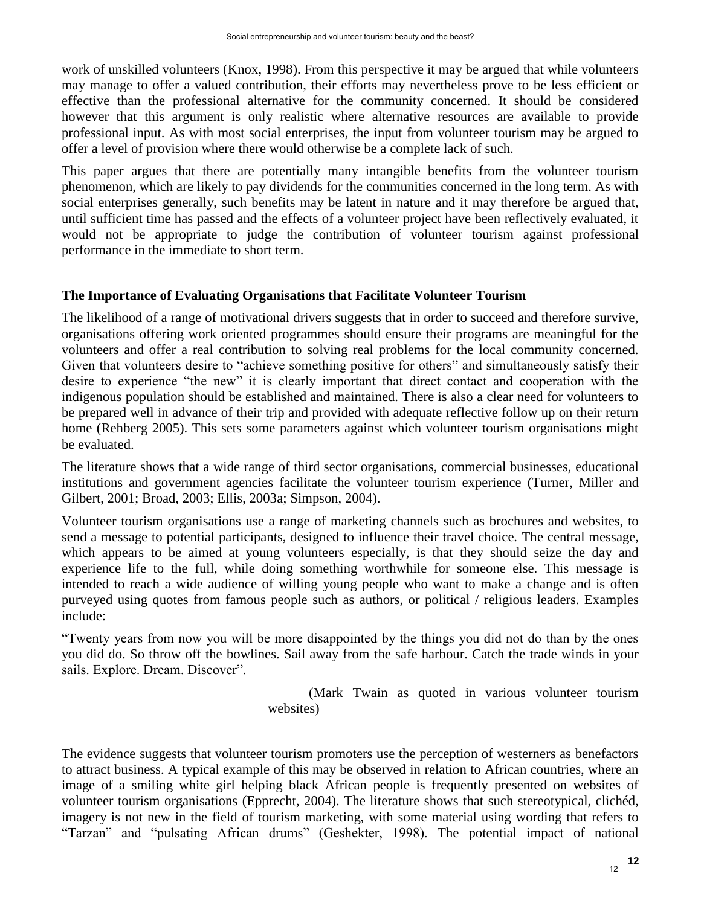work of unskilled volunteers (Knox, 1998). From this perspective it may be argued that while volunteers may manage to offer a valued contribution, their efforts may nevertheless prove to be less efficient or effective than the professional alternative for the community concerned. It should be considered however that this argument is only realistic where alternative resources are available to provide professional input. As with most social enterprises, the input from volunteer tourism may be argued to offer a level of provision where there would otherwise be a complete lack of such.

This paper argues that there are potentially many intangible benefits from the volunteer tourism phenomenon, which are likely to pay dividends for the communities concerned in the long term. As with social enterprises generally, such benefits may be latent in nature and it may therefore be argued that, until sufficient time has passed and the effects of a volunteer project have been reflectively evaluated, it would not be appropriate to judge the contribution of volunteer tourism against professional performance in the immediate to short term.

## **The Importance of Evaluating Organisations that Facilitate Volunteer Tourism**

The likelihood of a range of motivational drivers suggests that in order to succeed and therefore survive, organisations offering work oriented programmes should ensure their programs are meaningful for the volunteers and offer a real contribution to solving real problems for the local community concerned. Given that volunteers desire to "achieve something positive for others" and simultaneously satisfy their desire to experience "the new" it is clearly important that direct contact and cooperation with the indigenous population should be established and maintained. There is also a clear need for volunteers to be prepared well in advance of their trip and provided with adequate reflective follow up on their return home (Rehberg 2005). This sets some parameters against which volunteer tourism organisations might be evaluated.

The literature shows that a wide range of third sector organisations, commercial businesses, educational institutions and government agencies facilitate the volunteer tourism experience (Turner, Miller and Gilbert, 2001; Broad, 2003; Ellis, 2003a; Simpson, 2004).

Volunteer tourism organisations use a range of marketing channels such as brochures and websites, to send a message to potential participants, designed to influence their travel choice. The central message, which appears to be aimed at young volunteers especially, is that they should seize the day and experience life to the full, while doing something worthwhile for someone else. This message is intended to reach a wide audience of willing young people who want to make a change and is often purveyed using quotes from famous people such as authors, or political / religious leaders. Examples include:

"Twenty years from now you will be more disappointed by the things you did not do than by the ones you did do. So throw off the bowlines. Sail away from the safe harbour. Catch the trade winds in your sails. Explore. Dream. Discover".

> (Mark Twain as quoted in various volunteer tourism websites)

The evidence suggests that volunteer tourism promoters use the perception of westerners as benefactors to attract business. A typical example of this may be observed in relation to African countries, where an image of a smiling white girl helping black African people is frequently presented on websites of volunteer tourism organisations (Epprecht, 2004). The literature shows that such stereotypical, clichéd, imagery is not new in the field of tourism marketing, with some material using wording that refers to "Tarzan" and "pulsating African drums" (Geshekter, 1998). The potential impact of national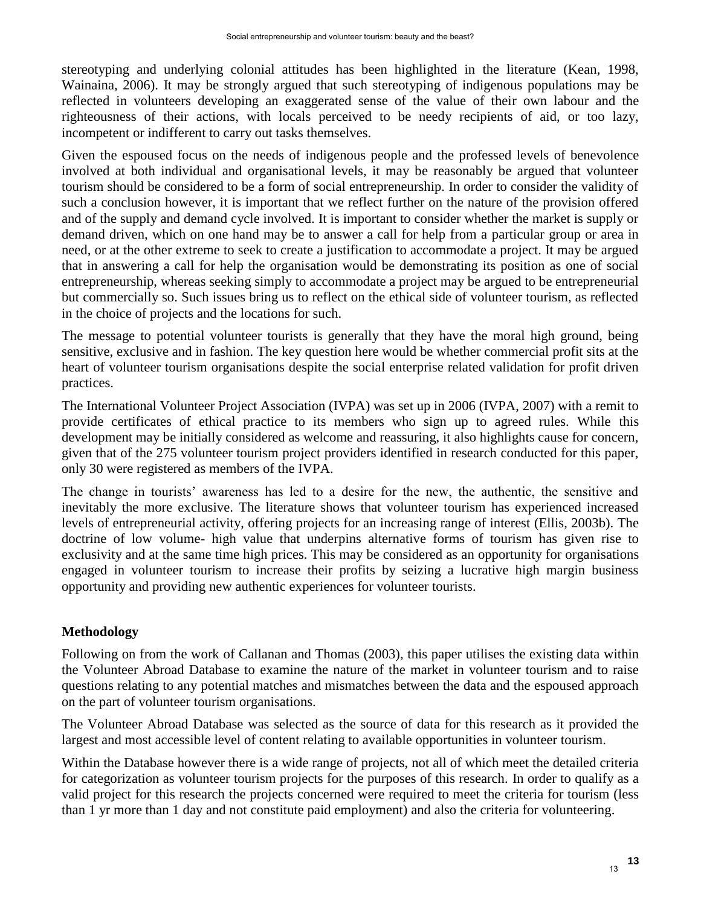stereotyping and underlying colonial attitudes has been highlighted in the literature (Kean, 1998, Wainaina, 2006). It may be strongly argued that such stereotyping of indigenous populations may be reflected in volunteers developing an exaggerated sense of the value of their own labour and the righteousness of their actions, with locals perceived to be needy recipients of aid, or too lazy, incompetent or indifferent to carry out tasks themselves.

Given the espoused focus on the needs of indigenous people and the professed levels of benevolence involved at both individual and organisational levels, it may be reasonably be argued that volunteer tourism should be considered to be a form of social entrepreneurship. In order to consider the validity of such a conclusion however, it is important that we reflect further on the nature of the provision offered and of the supply and demand cycle involved. It is important to consider whether the market is supply or demand driven, which on one hand may be to answer a call for help from a particular group or area in need, or at the other extreme to seek to create a justification to accommodate a project. It may be argued that in answering a call for help the organisation would be demonstrating its position as one of social entrepreneurship, whereas seeking simply to accommodate a project may be argued to be entrepreneurial but commercially so. Such issues bring us to reflect on the ethical side of volunteer tourism, as reflected in the choice of projects and the locations for such.

The message to potential volunteer tourists is generally that they have the moral high ground, being sensitive, exclusive and in fashion. The key question here would be whether commercial profit sits at the heart of volunteer tourism organisations despite the social enterprise related validation for profit driven practices.

The International Volunteer Project Association (IVPA) was set up in 2006 (IVPA, 2007) with a remit to provide certificates of ethical practice to its members who sign up to agreed rules. While this development may be initially considered as welcome and reassuring, it also highlights cause for concern, given that of the 275 volunteer tourism project providers identified in research conducted for this paper, only 30 were registered as members of the IVPA.

The change in tourists' awareness has led to a desire for the new, the authentic, the sensitive and inevitably the more exclusive. The literature shows that volunteer tourism has experienced increased levels of entrepreneurial activity, offering projects for an increasing range of interest (Ellis, 2003b). The doctrine of low volume- high value that underpins alternative forms of tourism has given rise to exclusivity and at the same time high prices. This may be considered as an opportunity for organisations engaged in volunteer tourism to increase their profits by seizing a lucrative high margin business opportunity and providing new authentic experiences for volunteer tourists.

# **Methodology**

Following on from the work of Callanan and Thomas (2003), this paper utilises the existing data within the Volunteer Abroad Database to examine the nature of the market in volunteer tourism and to raise questions relating to any potential matches and mismatches between the data and the espoused approach on the part of volunteer tourism organisations.

The Volunteer Abroad Database was selected as the source of data for this research as it provided the largest and most accessible level of content relating to available opportunities in volunteer tourism.

Within the Database however there is a wide range of projects, not all of which meet the detailed criteria for categorization as volunteer tourism projects for the purposes of this research. In order to qualify as a valid project for this research the projects concerned were required to meet the criteria for tourism (less than 1 yr more than 1 day and not constitute paid employment) and also the criteria for volunteering.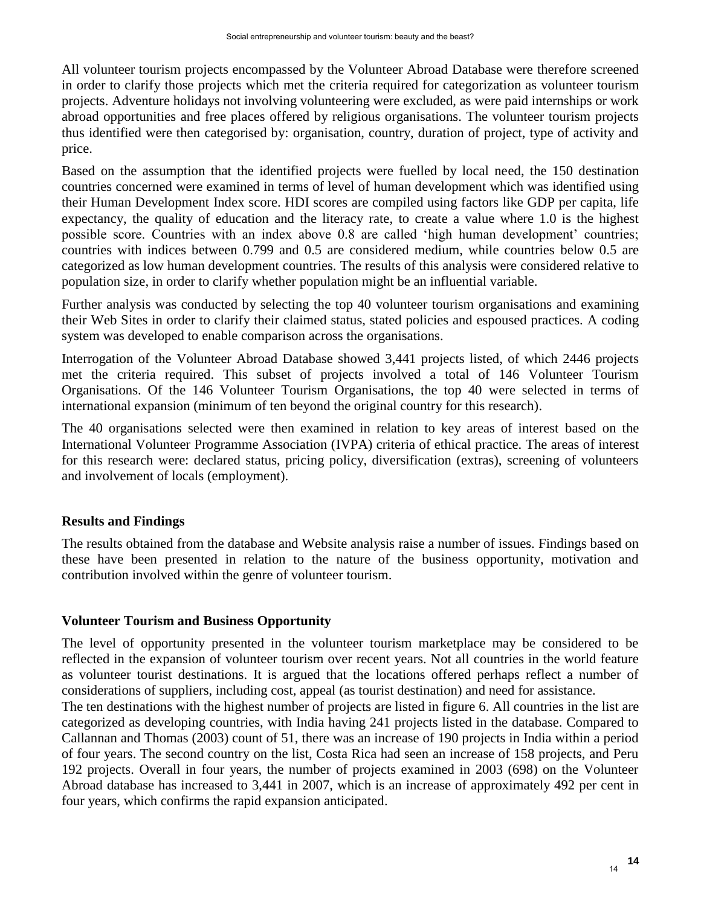All volunteer tourism projects encompassed by the Volunteer Abroad Database were therefore screened in order to clarify those projects which met the criteria required for categorization as volunteer tourism projects. Adventure holidays not involving volunteering were excluded, as were paid internships or work abroad opportunities and free places offered by religious organisations. The volunteer tourism projects thus identified were then categorised by: organisation, country, duration of project, type of activity and price.

Based on the assumption that the identified projects were fuelled by local need, the 150 destination countries concerned were examined in terms of level of human development which was identified using their Human Development Index score. HDI scores are compiled using factors like GDP per capita, life expectancy, the quality of education and the literacy rate, to create a value where 1.0 is the highest possible score. Countries with an index above 0.8 are called 'high human development' countries; countries with indices between 0.799 and 0.5 are considered medium, while countries below 0.5 are categorized as low human development countries. The results of this analysis were considered relative to population size, in order to clarify whether population might be an influential variable.

Further analysis was conducted by selecting the top 40 volunteer tourism organisations and examining their Web Sites in order to clarify their claimed status, stated policies and espoused practices. A coding system was developed to enable comparison across the organisations.

Interrogation of the Volunteer Abroad Database showed 3,441 projects listed, of which 2446 projects met the criteria required. This subset of projects involved a total of 146 Volunteer Tourism Organisations. Of the 146 Volunteer Tourism Organisations, the top 40 were selected in terms of international expansion (minimum of ten beyond the original country for this research).

The 40 organisations selected were then examined in relation to key areas of interest based on the International Volunteer Programme Association (IVPA) criteria of ethical practice. The areas of interest for this research were: declared status, pricing policy, diversification (extras), screening of volunteers and involvement of locals (employment).

# **Results and Findings**

The results obtained from the database and Website analysis raise a number of issues. Findings based on these have been presented in relation to the nature of the business opportunity, motivation and contribution involved within the genre of volunteer tourism.

### **Volunteer Tourism and Business Opportunity**

The level of opportunity presented in the volunteer tourism marketplace may be considered to be reflected in the expansion of volunteer tourism over recent years. Not all countries in the world feature as volunteer tourist destinations. It is argued that the locations offered perhaps reflect a number of considerations of suppliers, including cost, appeal (as tourist destination) and need for assistance.

The ten destinations with the highest number of projects are listed in figure 6. All countries in the list are categorized as developing countries, with India having 241 projects listed in the database. Compared to Callannan and Thomas (2003) count of 51, there was an increase of 190 projects in India within a period of four years. The second country on the list, Costa Rica had seen an increase of 158 projects, and Peru 192 projects. Overall in four years, the number of projects examined in 2003 (698) on the Volunteer Abroad database has increased to 3,441 in 2007, which is an increase of approximately 492 per cent in four years, which confirms the rapid expansion anticipated.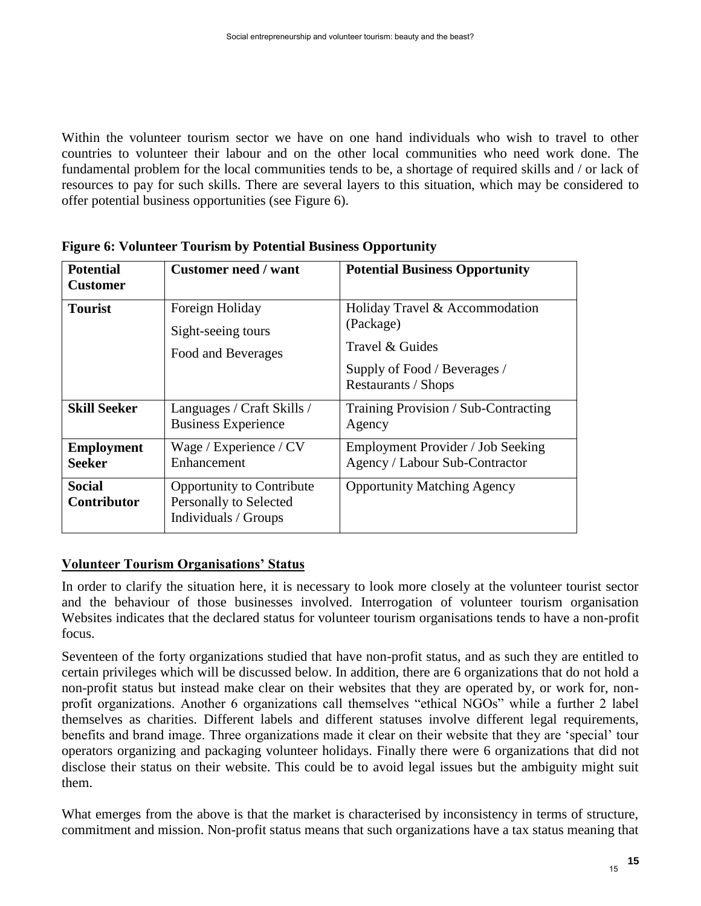Within the volunteer tourism sector we have on one hand individuals who wish to travel to other countries to volunteer their labour and on the other local communities who need work done. The fundamental problem for the local communities tends to be, a shortage of required skills and / or lack of resources to pay for such skills. There are several layers to this situation, which may be considered to offer potential business opportunities (see Figure 6).

| <b>Potential</b><br><b>Customer</b> | Customer need / want                                                               | <b>Potential Business Opportunity</b>                                                                                 |
|-------------------------------------|------------------------------------------------------------------------------------|-----------------------------------------------------------------------------------------------------------------------|
| <b>Tourist</b>                      | Foreign Holiday<br>Sight-seeing tours<br>Food and Beverages                        | Holiday Travel & Accommodation<br>(Package)<br>Travel & Guides<br>Supply of Food / Beverages /<br>Restaurants / Shops |
| <b>Skill Seeker</b>                 | Languages / Craft Skills /<br><b>Business Experience</b>                           | Training Provision / Sub-Contracting<br>Agency                                                                        |
| <b>Employment</b><br><b>Seeker</b>  | Wage / Experience / CV<br>Enhancement                                              | Employment Provider / Job Seeking<br>Agency / Labour Sub-Contractor                                                   |
| <b>Social</b><br><b>Contributor</b> | <b>Opportunity to Contribute</b><br>Personally to Selected<br>Individuals / Groups | <b>Opportunity Matching Agency</b>                                                                                    |

**Figure 6: Volunteer Tourism by Potential Business Opportunity** 

# **Volunteer Tourism Organisations' Status**

In order to clarify the situation here, it is necessary to look more closely at the volunteer tourist sector and the behaviour of those businesses involved. Interrogation of volunteer tourism organisation Websites indicates that the declared status for volunteer tourism organisations tends to have a non-profit focus.

Seventeen of the forty organizations studied that have non-profit status, and as such they are entitled to certain privileges which will be discussed below. In addition, there are 6 organizations that do not hold a non-profit status but instead make clear on their websites that they are operated by, or work for, nonprofit organizations. Another 6 organizations call themselves "ethical NGOs" while a further 2 label themselves as charities. Different labels and different statuses involve different legal requirements, benefits and brand image. Three organizations made it clear on their website that they are "special" tour operators organizing and packaging volunteer holidays. Finally there were 6 organizations that did not disclose their status on their website. This could be to avoid legal issues but the ambiguity might suit them.

What emerges from the above is that the market is characterised by inconsistency in terms of structure, commitment and mission. Non-profit status means that such organizations have a tax status meaning that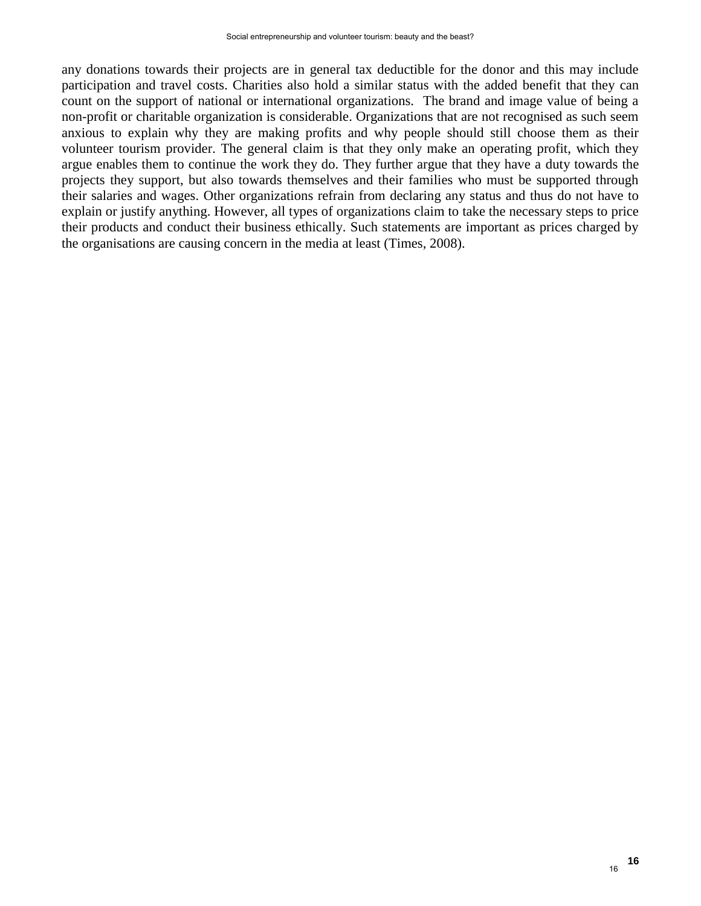any donations towards their projects are in general tax deductible for the donor and this may include participation and travel costs. Charities also hold a similar status with the added benefit that they can count on the support of national or international organizations. The brand and image value of being a non-profit or charitable organization is considerable. Organizations that are not recognised as such seem anxious to explain why they are making profits and why people should still choose them as their volunteer tourism provider. The general claim is that they only make an operating profit, which they argue enables them to continue the work they do. They further argue that they have a duty towards the projects they support, but also towards themselves and their families who must be supported through their salaries and wages. Other organizations refrain from declaring any status and thus do not have to explain or justify anything. However, all types of organizations claim to take the necessary steps to price their products and conduct their business ethically. Such statements are important as prices charged by the organisations are causing concern in the media at least (Times, 2008).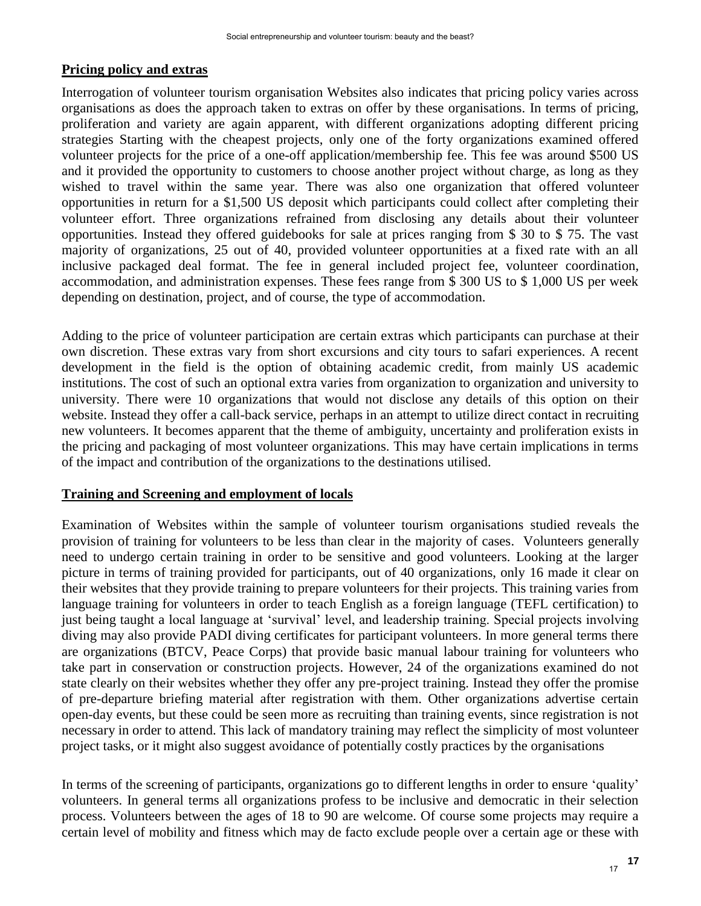#### **Pricing policy and extras**

Interrogation of volunteer tourism organisation Websites also indicates that pricing policy varies across organisations as does the approach taken to extras on offer by these organisations. In terms of pricing, proliferation and variety are again apparent, with different organizations adopting different pricing strategies Starting with the cheapest projects, only one of the forty organizations examined offered volunteer projects for the price of a one-off application/membership fee. This fee was around \$500 US and it provided the opportunity to customers to choose another project without charge, as long as they wished to travel within the same year. There was also one organization that offered volunteer opportunities in return for a \$1,500 US deposit which participants could collect after completing their volunteer effort. Three organizations refrained from disclosing any details about their volunteer opportunities. Instead they offered guidebooks for sale at prices ranging from \$ 30 to \$ 75. The vast majority of organizations, 25 out of 40, provided volunteer opportunities at a fixed rate with an all inclusive packaged deal format. The fee in general included project fee, volunteer coordination, accommodation, and administration expenses. These fees range from \$ 300 US to \$ 1,000 US per week depending on destination, project, and of course, the type of accommodation.

Adding to the price of volunteer participation are certain extras which participants can purchase at their own discretion. These extras vary from short excursions and city tours to safari experiences. A recent development in the field is the option of obtaining academic credit, from mainly US academic institutions. The cost of such an optional extra varies from organization to organization and university to university. There were 10 organizations that would not disclose any details of this option on their website. Instead they offer a call-back service, perhaps in an attempt to utilize direct contact in recruiting new volunteers. It becomes apparent that the theme of ambiguity, uncertainty and proliferation exists in the pricing and packaging of most volunteer organizations. This may have certain implications in terms of the impact and contribution of the organizations to the destinations utilised.

### **Training and Screening and employment of locals**

Examination of Websites within the sample of volunteer tourism organisations studied reveals the provision of training for volunteers to be less than clear in the majority of cases. Volunteers generally need to undergo certain training in order to be sensitive and good volunteers. Looking at the larger picture in terms of training provided for participants, out of 40 organizations, only 16 made it clear on their websites that they provide training to prepare volunteers for their projects. This training varies from language training for volunteers in order to teach English as a foreign language (TEFL certification) to just being taught a local language at "survival" level, and leadership training. Special projects involving diving may also provide PADI diving certificates for participant volunteers. In more general terms there are organizations (BTCV, Peace Corps) that provide basic manual labour training for volunteers who take part in conservation or construction projects. However, 24 of the organizations examined do not state clearly on their websites whether they offer any pre-project training. Instead they offer the promise of pre-departure briefing material after registration with them. Other organizations advertise certain open-day events, but these could be seen more as recruiting than training events, since registration is not necessary in order to attend. This lack of mandatory training may reflect the simplicity of most volunteer project tasks, or it might also suggest avoidance of potentially costly practices by the organisations

In terms of the screening of participants, organizations go to different lengths in order to ensure "quality" volunteers. In general terms all organizations profess to be inclusive and democratic in their selection process. Volunteers between the ages of 18 to 90 are welcome. Of course some projects may require a certain level of mobility and fitness which may de facto exclude people over a certain age or these with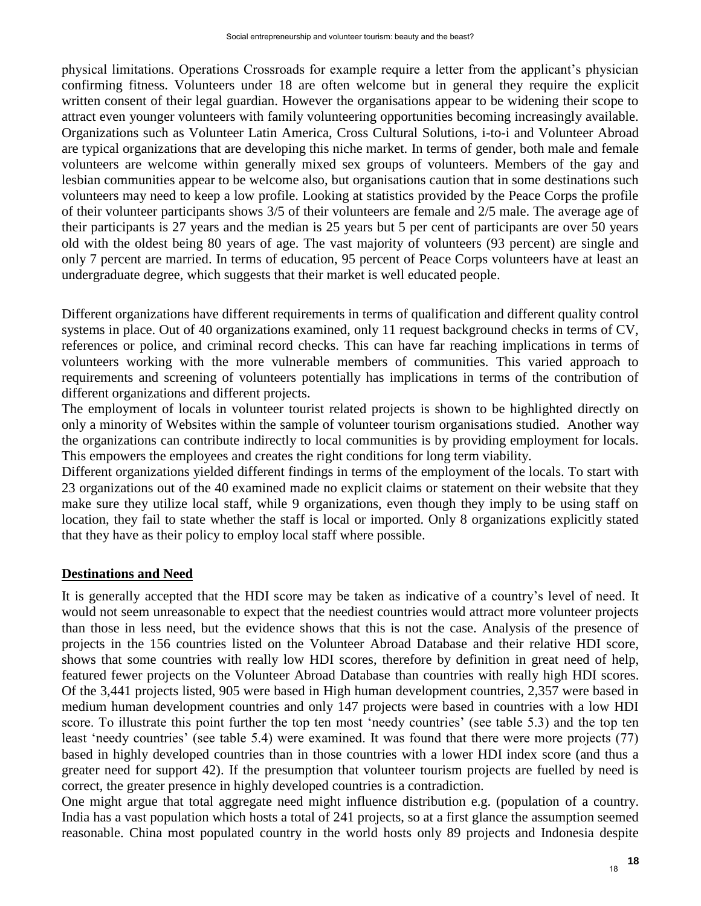physical limitations. Operations Crossroads for example require a letter from the applicant"s physician confirming fitness. Volunteers under 18 are often welcome but in general they require the explicit written consent of their legal guardian. However the organisations appear to be widening their scope to attract even younger volunteers with family volunteering opportunities becoming increasingly available. Organizations such as Volunteer Latin America, Cross Cultural Solutions, i-to-i and Volunteer Abroad are typical organizations that are developing this niche market. In terms of gender, both male and female volunteers are welcome within generally mixed sex groups of volunteers. Members of the gay and lesbian communities appear to be welcome also, but organisations caution that in some destinations such volunteers may need to keep a low profile. Looking at statistics provided by the Peace Corps the profile of their volunteer participants shows 3/5 of their volunteers are female and 2/5 male. The average age of their participants is 27 years and the median is 25 years but 5 per cent of participants are over 50 years old with the oldest being 80 years of age. The vast majority of volunteers (93 percent) are single and only 7 percent are married. In terms of education, 95 percent of Peace Corps volunteers have at least an undergraduate degree, which suggests that their market is well educated people.

Different organizations have different requirements in terms of qualification and different quality control systems in place. Out of 40 organizations examined, only 11 request background checks in terms of CV, references or police, and criminal record checks. This can have far reaching implications in terms of volunteers working with the more vulnerable members of communities. This varied approach to requirements and screening of volunteers potentially has implications in terms of the contribution of different organizations and different projects.

The employment of locals in volunteer tourist related projects is shown to be highlighted directly on only a minority of Websites within the sample of volunteer tourism organisations studied. Another way the organizations can contribute indirectly to local communities is by providing employment for locals. This empowers the employees and creates the right conditions for long term viability.

Different organizations yielded different findings in terms of the employment of the locals. To start with 23 organizations out of the 40 examined made no explicit claims or statement on their website that they make sure they utilize local staff, while 9 organizations, even though they imply to be using staff on location, they fail to state whether the staff is local or imported. Only 8 organizations explicitly stated that they have as their policy to employ local staff where possible.

# **Destinations and Need**

It is generally accepted that the HDI score may be taken as indicative of a country"s level of need. It would not seem unreasonable to expect that the neediest countries would attract more volunteer projects than those in less need, but the evidence shows that this is not the case. Analysis of the presence of projects in the 156 countries listed on the Volunteer Abroad Database and their relative HDI score, shows that some countries with really low HDI scores, therefore by definition in great need of help, featured fewer projects on the Volunteer Abroad Database than countries with really high HDI scores. Of the 3,441 projects listed, 905 were based in High human development countries, 2,357 were based in medium human development countries and only 147 projects were based in countries with a low HDI score. To illustrate this point further the top ten most 'needy countries' (see table 5.3) and the top ten least 'needy countries' (see table 5.4) were examined. It was found that there were more projects (77) based in highly developed countries than in those countries with a lower HDI index score (and thus a greater need for support 42). If the presumption that volunteer tourism projects are fuelled by need is correct, the greater presence in highly developed countries is a contradiction.

One might argue that total aggregate need might influence distribution e.g. (population of a country. India has a vast population which hosts a total of 241 projects, so at a first glance the assumption seemed reasonable. China most populated country in the world hosts only 89 projects and Indonesia despite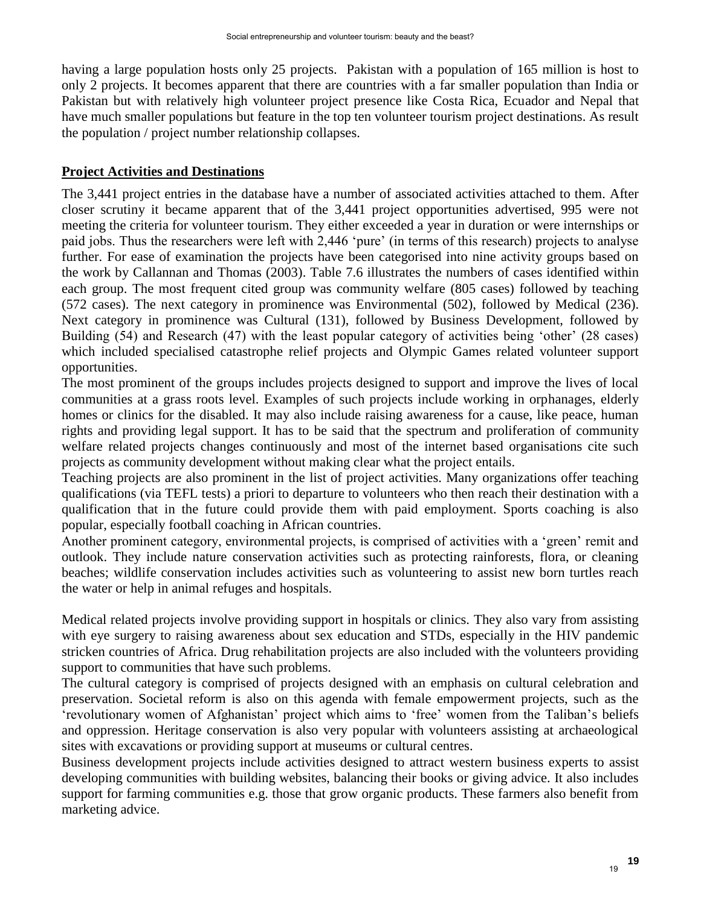having a large population hosts only 25 projects. Pakistan with a population of 165 million is host to only 2 projects. It becomes apparent that there are countries with a far smaller population than India or Pakistan but with relatively high volunteer project presence like Costa Rica, Ecuador and Nepal that have much smaller populations but feature in the top ten volunteer tourism project destinations. As result the population / project number relationship collapses.

#### **Project Activities and Destinations**

The 3,441 project entries in the database have a number of associated activities attached to them. After closer scrutiny it became apparent that of the 3,441 project opportunities advertised, 995 were not meeting the criteria for volunteer tourism. They either exceeded a year in duration or were internships or paid jobs. Thus the researchers were left with 2,446 'pure' (in terms of this research) projects to analyse further. For ease of examination the projects have been categorised into nine activity groups based on the work by Callannan and Thomas (2003). Table 7.6 illustrates the numbers of cases identified within each group. The most frequent cited group was community welfare (805 cases) followed by teaching (572 cases). The next category in prominence was Environmental (502), followed by Medical (236). Next category in prominence was Cultural (131), followed by Business Development, followed by Building (54) and Research (47) with the least popular category of activities being 'other' (28 cases) which included specialised catastrophe relief projects and Olympic Games related volunteer support opportunities.

The most prominent of the groups includes projects designed to support and improve the lives of local communities at a grass roots level. Examples of such projects include working in orphanages, elderly homes or clinics for the disabled. It may also include raising awareness for a cause, like peace, human rights and providing legal support. It has to be said that the spectrum and proliferation of community welfare related projects changes continuously and most of the internet based organisations cite such projects as community development without making clear what the project entails.

Teaching projects are also prominent in the list of project activities. Many organizations offer teaching qualifications (via TEFL tests) a priori to departure to volunteers who then reach their destination with a qualification that in the future could provide them with paid employment. Sports coaching is also popular, especially football coaching in African countries.

Another prominent category, environmental projects, is comprised of activities with a "green" remit and outlook. They include nature conservation activities such as protecting rainforests, flora, or cleaning beaches; wildlife conservation includes activities such as volunteering to assist new born turtles reach the water or help in animal refuges and hospitals.

Medical related projects involve providing support in hospitals or clinics. They also vary from assisting with eye surgery to raising awareness about sex education and STDs, especially in the HIV pandemic stricken countries of Africa. Drug rehabilitation projects are also included with the volunteers providing support to communities that have such problems.

The cultural category is comprised of projects designed with an emphasis on cultural celebration and preservation. Societal reform is also on this agenda with female empowerment projects, such as the "revolutionary women of Afghanistan" project which aims to "free" women from the Taliban"s beliefs and oppression. Heritage conservation is also very popular with volunteers assisting at archaeological sites with excavations or providing support at museums or cultural centres.

Business development projects include activities designed to attract western business experts to assist developing communities with building websites, balancing their books or giving advice. It also includes support for farming communities e.g. those that grow organic products. These farmers also benefit from marketing advice.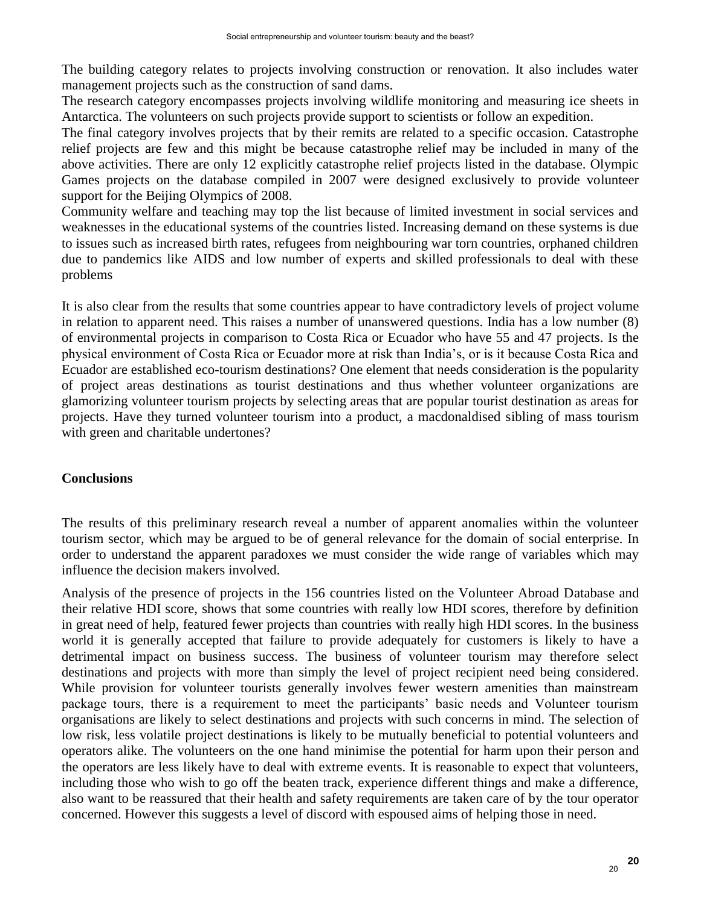The building category relates to projects involving construction or renovation. It also includes water management projects such as the construction of sand dams.

The research category encompasses projects involving wildlife monitoring and measuring ice sheets in Antarctica. The volunteers on such projects provide support to scientists or follow an expedition.

The final category involves projects that by their remits are related to a specific occasion. Catastrophe relief projects are few and this might be because catastrophe relief may be included in many of the above activities. There are only 12 explicitly catastrophe relief projects listed in the database. Olympic Games projects on the database compiled in 2007 were designed exclusively to provide volunteer support for the Beijing Olympics of 2008.

Community welfare and teaching may top the list because of limited investment in social services and weaknesses in the educational systems of the countries listed. Increasing demand on these systems is due to issues such as increased birth rates, refugees from neighbouring war torn countries, orphaned children due to pandemics like AIDS and low number of experts and skilled professionals to deal with these problems

It is also clear from the results that some countries appear to have contradictory levels of project volume in relation to apparent need. This raises a number of unanswered questions. India has a low number (8) of environmental projects in comparison to Costa Rica or Ecuador who have 55 and 47 projects. Is the physical environment of Costa Rica or Ecuador more at risk than India"s, or is it because Costa Rica and Ecuador are established eco-tourism destinations? One element that needs consideration is the popularity of project areas destinations as tourist destinations and thus whether volunteer organizations are glamorizing volunteer tourism projects by selecting areas that are popular tourist destination as areas for projects. Have they turned volunteer tourism into a product, a macdonaldised sibling of mass tourism with green and charitable undertones?

### **Conclusions**

The results of this preliminary research reveal a number of apparent anomalies within the volunteer tourism sector, which may be argued to be of general relevance for the domain of social enterprise. In order to understand the apparent paradoxes we must consider the wide range of variables which may influence the decision makers involved.

Analysis of the presence of projects in the 156 countries listed on the Volunteer Abroad Database and their relative HDI score, shows that some countries with really low HDI scores, therefore by definition in great need of help, featured fewer projects than countries with really high HDI scores. In the business world it is generally accepted that failure to provide adequately for customers is likely to have a detrimental impact on business success. The business of volunteer tourism may therefore select destinations and projects with more than simply the level of project recipient need being considered. While provision for volunteer tourists generally involves fewer western amenities than mainstream package tours, there is a requirement to meet the participants' basic needs and Volunteer tourism organisations are likely to select destinations and projects with such concerns in mind. The selection of low risk, less volatile project destinations is likely to be mutually beneficial to potential volunteers and operators alike. The volunteers on the one hand minimise the potential for harm upon their person and the operators are less likely have to deal with extreme events. It is reasonable to expect that volunteers, including those who wish to go off the beaten track, experience different things and make a difference, also want to be reassured that their health and safety requirements are taken care of by the tour operator concerned. However this suggests a level of discord with espoused aims of helping those in need.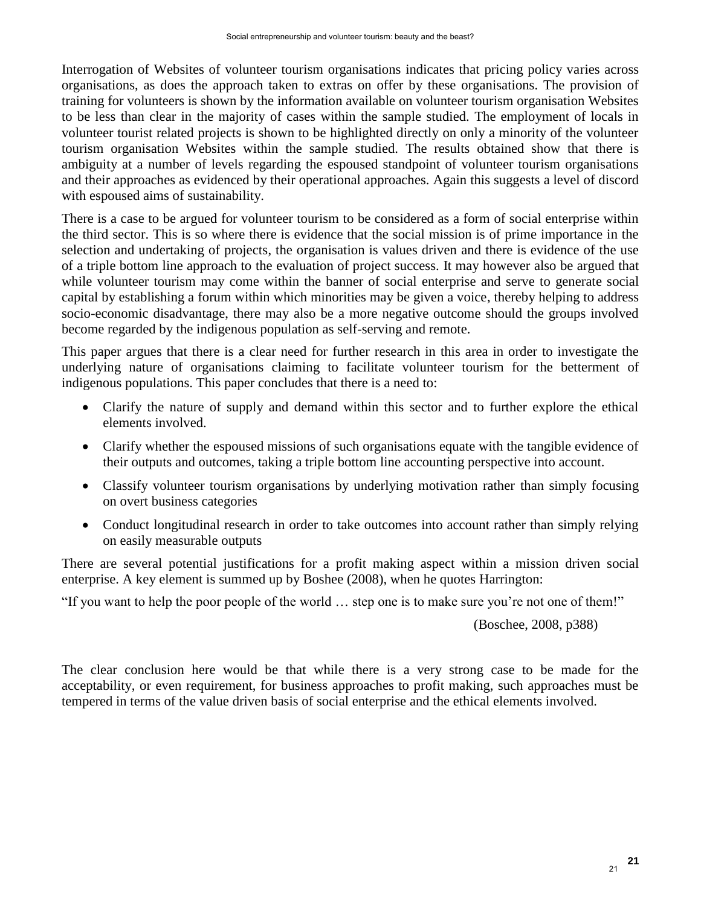Interrogation of Websites of volunteer tourism organisations indicates that pricing policy varies across organisations, as does the approach taken to extras on offer by these organisations. The provision of training for volunteers is shown by the information available on volunteer tourism organisation Websites to be less than clear in the majority of cases within the sample studied. The employment of locals in volunteer tourist related projects is shown to be highlighted directly on only a minority of the volunteer tourism organisation Websites within the sample studied. The results obtained show that there is ambiguity at a number of levels regarding the espoused standpoint of volunteer tourism organisations and their approaches as evidenced by their operational approaches. Again this suggests a level of discord with espoused aims of sustainability.

There is a case to be argued for volunteer tourism to be considered as a form of social enterprise within the third sector. This is so where there is evidence that the social mission is of prime importance in the selection and undertaking of projects, the organisation is values driven and there is evidence of the use of a triple bottom line approach to the evaluation of project success. It may however also be argued that while volunteer tourism may come within the banner of social enterprise and serve to generate social capital by establishing a forum within which minorities may be given a voice, thereby helping to address socio-economic disadvantage, there may also be a more negative outcome should the groups involved become regarded by the indigenous population as self-serving and remote.

This paper argues that there is a clear need for further research in this area in order to investigate the underlying nature of organisations claiming to facilitate volunteer tourism for the betterment of indigenous populations. This paper concludes that there is a need to:

- Clarify the nature of supply and demand within this sector and to further explore the ethical elements involved.
- Clarify whether the espoused missions of such organisations equate with the tangible evidence of their outputs and outcomes, taking a triple bottom line accounting perspective into account.
- Classify volunteer tourism organisations by underlying motivation rather than simply focusing on overt business categories
- Conduct longitudinal research in order to take outcomes into account rather than simply relying on easily measurable outputs

There are several potential justifications for a profit making aspect within a mission driven social enterprise. A key element is summed up by Boshee (2008), when he quotes Harrington:

"If you want to help the poor people of the world … step one is to make sure you"re not one of them!"

(Boschee, 2008, p388)

The clear conclusion here would be that while there is a very strong case to be made for the acceptability, or even requirement, for business approaches to profit making, such approaches must be tempered in terms of the value driven basis of social enterprise and the ethical elements involved.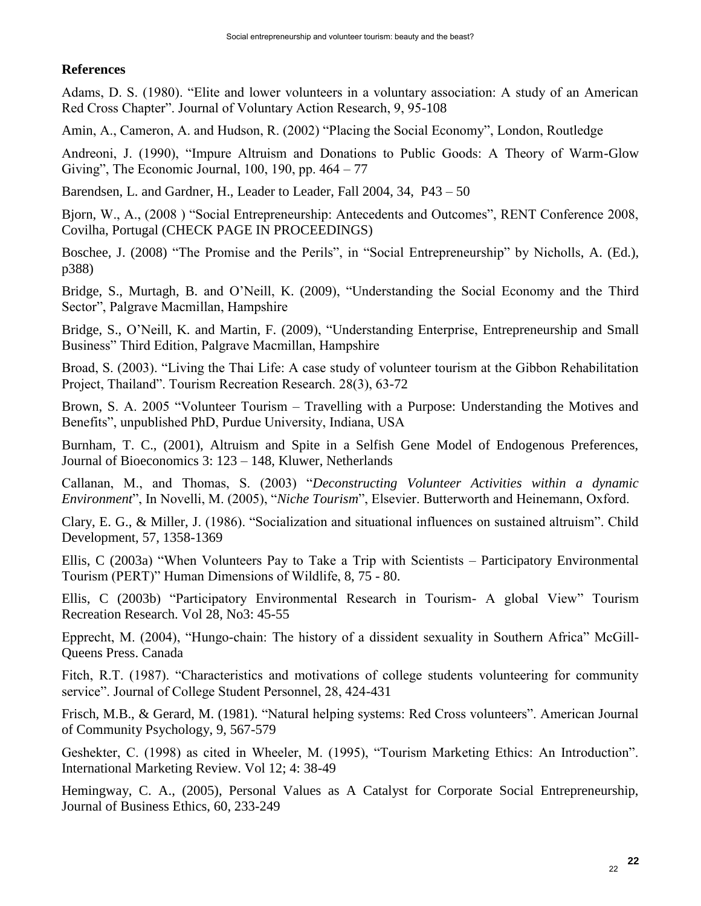# **References**

Adams, D. S. (1980). "Elite and lower volunteers in a voluntary association: A study of an American Red Cross Chapter". Journal of Voluntary Action Research, 9, 95-108

Amin, A., Cameron, A. and Hudson, R. (2002) "Placing the Social Economy", London, Routledge

Andreoni, J. (1990), "Impure Altruism and Donations to Public Goods: A Theory of Warm-Glow Giving", The Economic Journal, 100, 190, pp.  $464 - 77$ 

Barendsen, L. and Gardner, H., Leader to Leader, Fall 2004, 34, P43 – 50

Bjorn, W., A., (2008 ) "Social Entrepreneurship: Antecedents and Outcomes", RENT Conference 2008, Covilha, Portugal (CHECK PAGE IN PROCEEDINGS)

Boschee, J. (2008) "The Promise and the Perils", in "Social Entrepreneurship" by Nicholls, A. (Ed.), p388)

Bridge, S., Murtagh, B. and O"Neill, K. (2009), "Understanding the Social Economy and the Third Sector", Palgrave Macmillan, Hampshire

Bridge, S., O"Neill, K. and Martin, F. (2009), "Understanding Enterprise, Entrepreneurship and Small Business" Third Edition, Palgrave Macmillan, Hampshire

Broad, S. (2003). "Living the Thai Life: A case study of volunteer tourism at the Gibbon Rehabilitation Project, Thailand". Tourism Recreation Research. 28(3), 63-72

Brown, S. A. 2005 "Volunteer Tourism – Travelling with a Purpose: Understanding the Motives and Benefits", unpublished PhD, Purdue University, Indiana, USA

Burnham, T. C., (2001), Altruism and Spite in a Selfish Gene Model of Endogenous Preferences, Journal of Bioeconomics 3: 123 – 148, Kluwer, Netherlands

Callanan, M., and Thomas, S. (2003) "*Deconstructing Volunteer Activities within a dynamic Environment*", In Novelli, M. (2005), "*Niche Tourism*", Elsevier. Butterworth and Heinemann, Oxford.

Clary, E. G., & Miller, J. (1986). "Socialization and situational influences on sustained altruism". Child Development, 57, 1358-1369

Ellis, C (2003a) "When Volunteers Pay to Take a Trip with Scientists – Participatory Environmental Tourism (PERT)" Human Dimensions of Wildlife, 8, 75 - 80.

Ellis, C (2003b) "Participatory Environmental Research in Tourism- A global View" Tourism Recreation Research. Vol 28, No3: 45-55

Epprecht, M. (2004), "Hungo-chain: The history of a dissident sexuality in Southern Africa" McGill-Queens Press. Canada

Fitch, R.T. (1987). "Characteristics and motivations of college students volunteering for community service". Journal of College Student Personnel, 28, 424-431

Frisch, M.B., & Gerard, M. (1981). "Natural helping systems: Red Cross volunteers". American Journal of Community Psychology, 9, 567-579

Geshekter, C. (1998) as cited in Wheeler, M. (1995), "Tourism Marketing Ethics: An Introduction". International Marketing Review. Vol 12; 4: 38-49

Hemingway, C. A., (2005), Personal Values as A Catalyst for Corporate Social Entrepreneurship, Journal of Business Ethics, 60, 233-249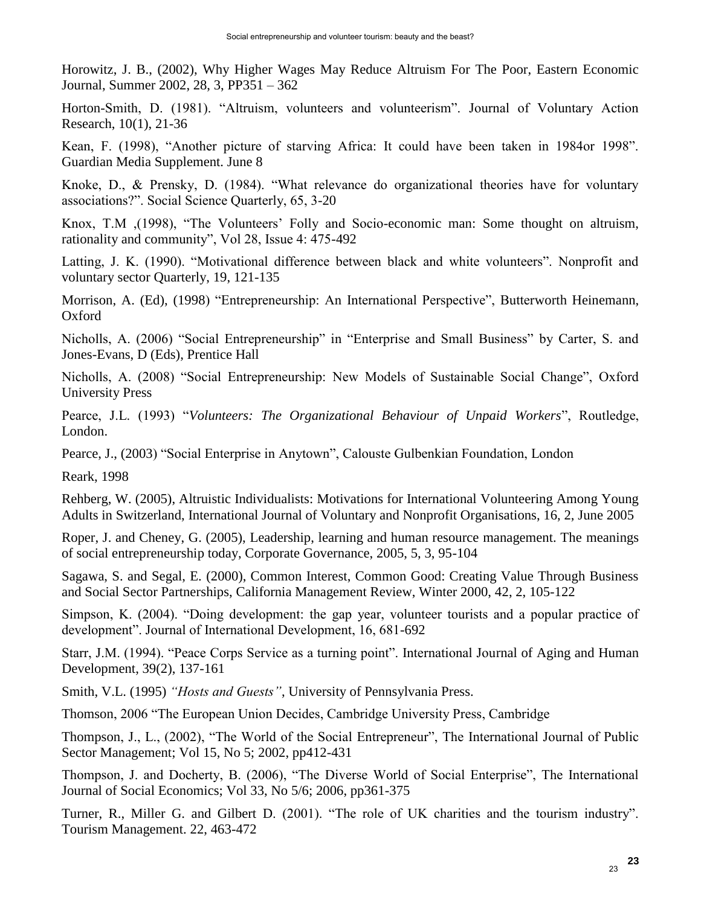Horowitz, J. B., (2002), Why Higher Wages May Reduce Altruism For The Poor, Eastern Economic Journal, Summer 2002, 28, 3, PP351 – 362

Horton-Smith, D. (1981). "Altruism, volunteers and volunteerism". Journal of Voluntary Action Research, 10(1), 21-36

Kean, F. (1998), "Another picture of starving Africa: It could have been taken in 1984or 1998". Guardian Media Supplement. June 8

Knoke, D., & Prensky, D. (1984). "What relevance do organizational theories have for voluntary associations?". Social Science Quarterly, 65, 3-20

Knox, T.M ,(1998), "The Volunteers' Folly and Socio-economic man: Some thought on altruism, rationality and community", Vol 28, Issue 4: 475-492

Latting, J. K. (1990). "Motivational difference between black and white volunteers". Nonprofit and voluntary sector Quarterly, 19, 121-135

Morrison, A. (Ed), (1998) "Entrepreneurship: An International Perspective", Butterworth Heinemann, Oxford

Nicholls, A. (2006) "Social Entrepreneurship" in "Enterprise and Small Business" by Carter, S. and Jones-Evans, D (Eds), Prentice Hall

Nicholls, A. (2008) "Social Entrepreneurship: New Models of Sustainable Social Change", Oxford University Press

Pearce, J.L. (1993) "*Volunteers: The Organizational Behaviour of Unpaid Workers*", Routledge, London.

Pearce, J., (2003) "Social Enterprise in Anytown", Calouste Gulbenkian Foundation, London

Reark, 1998

Rehberg, W. (2005), Altruistic Individualists: Motivations for International Volunteering Among Young Adults in Switzerland, International Journal of Voluntary and Nonprofit Organisations, 16, 2, June 2005

Roper, J. and Cheney, G. (2005), Leadership, learning and human resource management. The meanings of social entrepreneurship today, Corporate Governance, 2005, 5, 3, 95-104

Sagawa, S. and Segal, E. (2000), Common Interest, Common Good: Creating Value Through Business and Social Sector Partnerships, California Management Review, Winter 2000, 42, 2, 105-122

Simpson, K. (2004). "Doing development: the gap year, volunteer tourists and a popular practice of development". Journal of International Development, 16, 681-692

Starr, J.M. (1994). "Peace Corps Service as a turning point". International Journal of Aging and Human Development, 39(2), 137-161

Smith, V.L. (1995) *"Hosts and Guests"*, University of Pennsylvania Press.

Thomson, 2006 "The European Union Decides, Cambridge University Press, Cambridge

Thompson, J., L., (2002), "The World of the Social Entrepreneur", The International Journal of Public Sector Management; Vol 15, No 5; 2002, pp412-431

Thompson, J. and Docherty, B. (2006), "The Diverse World of Social Enterprise", The International Journal of Social Economics; Vol 33, No 5/6; 2006, pp361-375

Turner, R., Miller G. and Gilbert D. (2001). "The role of UK charities and the tourism industry". Tourism Management. 22, 463-472